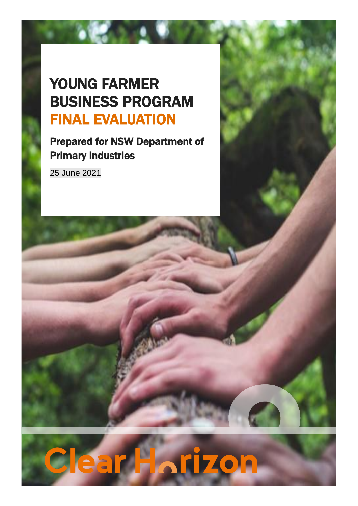# YOUNG FARMER BUSINESS PROGRAM FINAL EVALUATION

Prepared for NSW Department of Primary Industries

25 June 2021

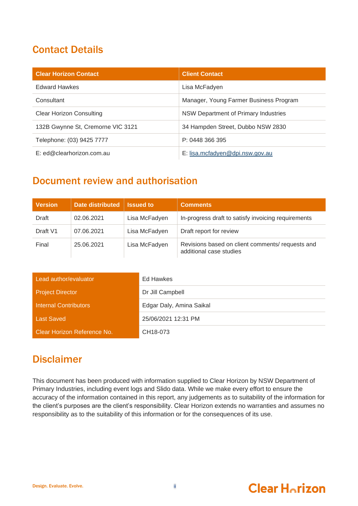## Contact Details

| <b>Clear Horizon Contact</b>      | <b>Client Contact</b>                  |
|-----------------------------------|----------------------------------------|
| <b>Edward Hawkes</b>              | Lisa McFadyen                          |
| Consultant                        | Manager, Young Farmer Business Program |
| <b>Clear Horizon Consulting</b>   | NSW Department of Primary Industries   |
| 132B Gwynne St, Cremorne VIC 3121 | 34 Hampden Street, Dubbo NSW 2830      |
| Telephone: (03) 9425 7777         | P: 0448 366 395                        |
| E: ed@clearhorizon.com.au         | E: lisa.mcfadyen@dpi.nsw.gov.au        |

## Document review and authorisation

| <b>Version</b> | <b>Date distributed</b> | <b>Issued to</b> | <b>Comments</b>                                                            |
|----------------|-------------------------|------------------|----------------------------------------------------------------------------|
| Draft          | 02.06.2021              | Lisa McFadyen    | In-progress draft to satisfy invoicing requirements                        |
| Draft V1       | 07.06.2021              | Lisa McFadyen    | Draft report for review                                                    |
| Final          | 25.06.2021              | Lisa McFadyen    | Revisions based on client comments/requests and<br>additional case studies |

| Lead author/evaluator       | Ed Hawkes                |
|-----------------------------|--------------------------|
| <b>Project Director</b>     | Dr Jill Campbell         |
| Internal Contributors       | Edgar Daly, Amina Saikal |
| <b>Last Saved</b>           | 25/06/2021 12:31 PM      |
| Clear Horizon Reference No. | CH18-073                 |

## **Disclaimer**

This document has been produced with information supplied to Clear Horizon by NSW Department of Primary Industries, including event logs and Slido data. While we make every effort to ensure the accuracy of the information contained in this report, any judgements as to suitability of the information for the client's purposes are the client's responsibility. Clear Horizon extends no warranties and assumes no responsibility as to the suitability of this information or for the consequences of its use.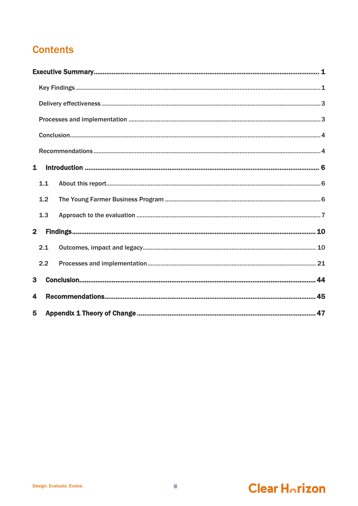## **Contents**

| $\mathbf{1}$            |     |  |
|-------------------------|-----|--|
|                         | 1.1 |  |
|                         | 1.2 |  |
|                         | 1.3 |  |
| $\overline{2}$          |     |  |
|                         | 2.1 |  |
|                         | 2.2 |  |
| $\overline{\mathbf{3}}$ |     |  |
| 4                       |     |  |
| 5                       |     |  |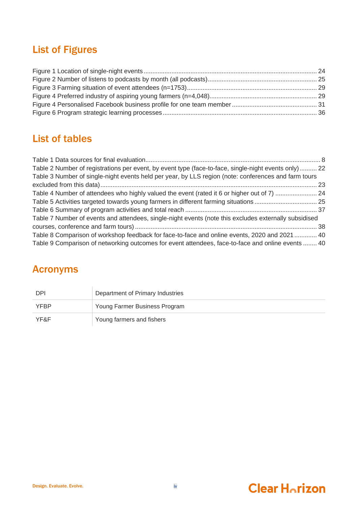## List of Figures

## List of tables

| Table 2 Number of registrations per event, by event type (face-to-face, single-night events only) 22  |  |
|-------------------------------------------------------------------------------------------------------|--|
| Table 3 Number of single-night events held per year, by LLS region (note: conferences and farm tours  |  |
|                                                                                                       |  |
|                                                                                                       |  |
|                                                                                                       |  |
|                                                                                                       |  |
| Table 7 Number of events and attendees, single-night events (note this excludes externally subsidised |  |
|                                                                                                       |  |
| Table 8 Comparison of workshop feedback for face-to-face and online events, 2020 and 2021  40         |  |
| Table 9 Comparison of networking outcomes for event attendees, face-to-face and online events  40     |  |

## Acronyms

| <b>DPI</b>  | Department of Primary Industries |
|-------------|----------------------------------|
| <b>YFBP</b> | Young Farmer Business Program    |
| YF&F        | Young farmers and fishers        |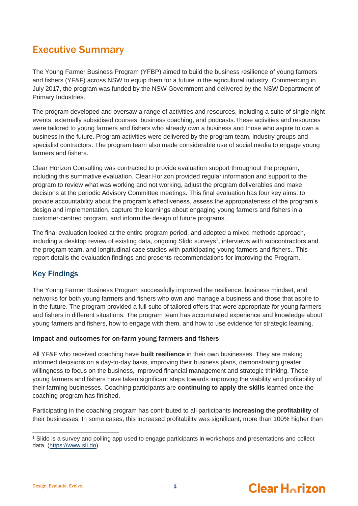## <span id="page-4-0"></span>Executive Summary

The Young Farmer Business Program (YFBP) aimed to build the business resilience of young farmers and fishers (YF&F) across NSW to equip them for a future in the agricultural industry. Commencing in July 2017, the program was funded by the NSW Government and delivered by the NSW Department of Primary Industries.

The program developed and oversaw a range of activities and resources, including a suite of single-night events, externally subsidised courses, business coaching, and podcasts.These activities and resources were tailored to young farmers and fishers who already own a business and those who aspire to own a business in the future. Program activities were delivered by the program team, industry groups and specialist contractors. The program team also made considerable use of social media to engage young farmers and fishers.

Clear Horizon Consulting was contracted to provide evaluation support throughout the program, including this summative evaluation. Clear Horizon provided regular information and support to the program to review what was working and not working, adjust the program deliverables and make decisions at the periodic Advisory Committee meetings. This final evaluation has four key aims: to provide accountability about the program's effectiveness, assess the appropriateness of the program's design and implementation, capture the learnings about engaging young farmers and fishers in a customer-centred program, and inform the design of future programs.

The final evaluation looked at the entire program period, and adopted a mixed methods approach, including a desktop review of existing data, ongoing Slido surveys<sup>1</sup>, interviews with subcontractors and the program team, and longitudinal case studies with participating young farmers and fishers.. This report details the evaluation findings and presents recommendations for improving the Program.

## <span id="page-4-1"></span>Key Findings

The Young Farmer Business Program successfully improved the resilience, business mindset, and networks for both young farmers and fishers who own and manage a business and those that aspire to in the future. The program provided a full suite of tailored offers that were appropriate for young farmers and fishers in different situations. The program team has accumulated experience and knowledge about young farmers and fishers, how to engage with them, and how to use evidence for strategic learning.

## Impact and outcomes for on-farm young farmers and fishers

All YF&F who received coaching have **built resilience** in their own businesses. They are making informed decisions on a day-to-day basis, improving their business plans, demonstrating greater willingness to focus on the business, improved financial management and strategic thinking. These young farmers and fishers have taken significant steps towards improving the viability and profitability of their farming businesses. Coaching participants are **continuing to apply the skills** learned once the coaching program has finished.

Participating in the coaching program has contributed to all participants **increasing the profitability** of their businesses. In some cases, this increased profitability was significant, more than 100% higher than





<sup>1</sup> Slido is a survey and polling app used to engage participants in workshops and presentations and collect data. [\(https://www.sli.do\)](https://www.sli.do/)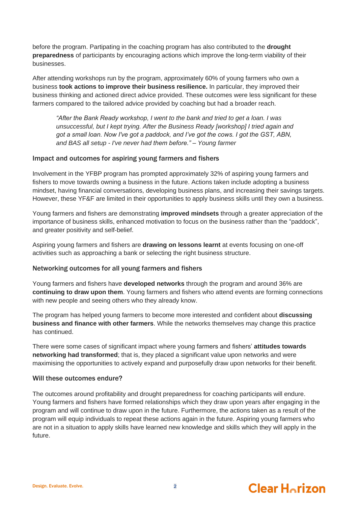before the program. Partipating in the coaching program has also contributed to the **drought preparedness** of participants by encouraging actions which improve the long-term viability of their businesses.

After attending workshops run by the program, approximately 60% of young farmers who own a business **took actions to improve their business resilience.** In particular, they improved their business thinking and actioned direct advice provided. These outcomes were less significant for these farmers compared to the tailored advice provided by coaching but had a broader reach.

*"After the Bank Ready workshop, I went to the bank and tried to get a loan. I was unsuccessful, but I kept trying. After the Business Ready [workshop] I tried again and got a small loan. Now I've got a paddock, and I've got the cows. I got the GST, ABN, and BAS all setup - I've never had them before." – Young farmer* 

### Impact and outcomes for aspiring young farmers and fishers

Involvement in the YFBP program has prompted approximately 32% of aspiring young farmers and fishers to move towards owning a business in the future. Actions taken include adopting a business mindset, having financial conversations, developing business plans, and increasing their savings targets. However, these YF&F are limited in their opportunities to apply business skills until they own a business.

Young farmers and fishers are demonstrating **improved mindsets** through a greater appreciation of the importance of business skills, enhanced motivation to focus on the business rather than the "paddock", and greater positivity and self-belief.

Aspiring young farmers and fishers are **drawing on lessons learnt** at events focusing on one-off activities such as approaching a bank or selecting the right business structure.

### Networking outcomes for all young farmers and fishers

Young farmers and fishers have **developed networks** through the program and around 36% are **continuing to draw upon them**. Young farmers and fishers who attend events are forming connections with new people and seeing others who they already know.

The program has helped young farmers to become more interested and confident about **discussing business and finance with other farmers**. While the networks themselves may change this practice has continued.

There were some cases of significant impact where young farmers and fishers' **attitudes towards networking had transformed**; that is, they placed a significant value upon networks and were maximising the opportunities to actively expand and purposefully draw upon networks for their benefit.

### Will these outcomes endure?

The outcomes around profitability and drought preparedness for coaching participants will endure. Young farmers and fishers have formed relationships which they draw upon years after engaging in the program and will continue to draw upon in the future. Furthermore, the actions taken as a result of the program will equip individuals to repeat these actions again in the future. Aspiring young farmers who are not in a situation to apply skills have learned new knowledge and skills which they will apply in the future.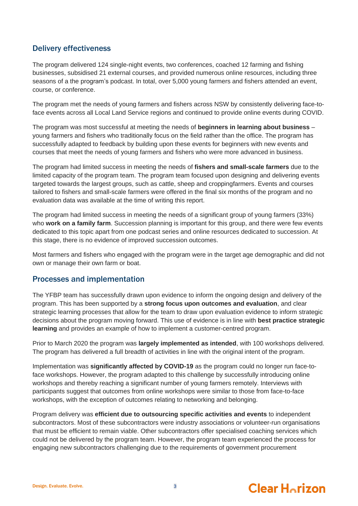## <span id="page-6-0"></span>Delivery effectiveness

The program delivered 124 single-night events, two conferences, coached 12 farming and fishing businesses, subsidised 21 external courses, and provided numerous online resources, including three seasons of a the program's podcast. In total, over 5,000 young farmers and fishers attended an event, course, or conference.

The program met the needs of young farmers and fishers across NSW by consistently delivering face-toface events across all Local Land Service regions and continued to provide online events during COVID.

The program was most successful at meeting the needs of **beginners in learning about business** – young farmers and fishers who traditionally focus on the field rather than the office. The program has successfully adapted to feedback by building upon these events for beginners with new events and courses that meet the needs of young farmers and fishers who were more advanced in business.

The program had limited success in meeting the needs of **fishers and small-scale farmers** due to the limited capacity of the program team. The program team focused upon designing and delivering events targeted towards the largest groups, such as cattle, sheep and croppingfarmers. Events and courses tailored to fishers and small-scale farmers were offered in the final six months of the program and no evaluation data was available at the time of writing this report.

The program had limited success in meeting the needs of a significant group of young farmers (33%) who **work on a family farm**. Succession planning is important for this group, and there were few events dedicated to this topic apart from one podcast series and online resources dedicated to succession. At this stage, there is no evidence of improved succession outcomes.

Most farmers and fishers who engaged with the program were in the target age demographic and did not own or manage their own farm or boat.

## <span id="page-6-1"></span>Processes and implementation

The YFBP team has successfully drawn upon evidence to inform the ongoing design and delivery of the program. This has been supported by a **strong focus upon outcomes and evaluation**, and clear strategic learning processes that allow for the team to draw upon evaluation evidence to inform strategic decisions about the program moving forward. This use of evidence is in line with **best practice strategic learning** and provides an example of how to implement a customer-centred program.

Prior to March 2020 the program was **largely implemented as intended**, with 100 workshops delivered. The program has delivered a full breadth of activities in line with the original intent of the program.

Implementation was **significantly affected by COVID-19** as the program could no longer run face-toface workshops. However, the program adapted to this challenge by successfully introducing online workshops and thereby reaching a significant number of young farmers remotely. Interviews with participants suggest that outcomes from online workshops were similar to those from face-to-face workshops, with the exception of outcomes relating to networking and belonging.

Program delivery was **efficient due to outsourcing specific activities and events** to independent subcontractors. Most of these subcontractors were industry associations or volunteer-run organisations that must be efficient to remain viable. Other subcontractors offer specialised coaching services which could not be delivered by the program team. However, the program team experienced the process for engaging new subcontractors challenging due to the requirements of government procurement

#### Design. Evaluate. Evolve. **3**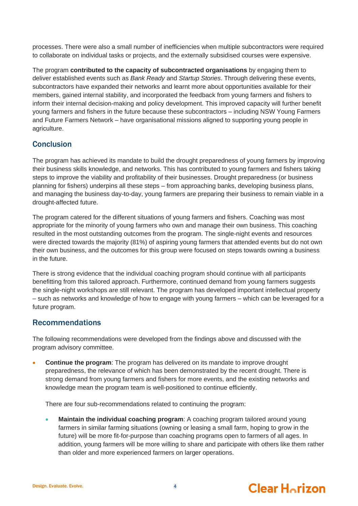processes. There were also a small number of inefficiencies when multiple subcontractors were required to collaborate on individual tasks or projects, and the externally subsidised courses were expensive.

The program **contributed to the capacity of subcontracted organisations** by engaging them to deliver established events such as *Bank Ready* and *Startup Stories*. Through delivering these events, subcontractors have expanded their networks and learnt more about opportunities available for their members, gained internal stability, and incorporated the feedback from young farmers and fishers to inform their internal decision-making and policy development. This improved capacity will further benefit young farmers and fishers in the future because these subcontractors – including NSW Young Farmers and Future Farmers Network – have organisational missions aligned to supporting young people in agriculture.

## <span id="page-7-0"></span>Conclusion

The program has achieved its mandate to build the drought preparedness of young farmers by improving their business skills knowledge, and networks. This has contributed to young farmers and fishers taking steps to improve the viability and profitability of their businesses. Drought preparedness (or business planning for fishers) underpins all these steps – from approaching banks, developing business plans, and managing the business day-to-day, young farmers are preparing their business to remain viable in a drought-affected future.

The program catered for the different situations of young farmers and fishers. Coaching was most appropriate for the minority of young farmers who own and manage their own business. This coaching resulted in the most outstanding outcomes from the program. The single-night events and resources were directed towards the majority (81%) of aspiring young farmers that attended events but do not own their own business, and the outcomes for this group were focused on steps towards owning a business in the future.

There is strong evidence that the individual coaching program should continue with all participants benefitting from this tailored approach. Furthermore, continued demand from young farmers suggests the single-night workshops are still relevant. The program has developed important intellectual property – such as networks and knowledge of how to engage with young farmers – which can be leveraged for a future program.

## <span id="page-7-1"></span>Recommendations

The following recommendations were developed from the findings above and discussed with the program advisory committee.

**Continue the program**: The program has delivered on its mandate to improve drought preparedness, the relevance of which has been demonstrated by the recent drought. There is strong demand from young farmers and fishers for more events, and the existing networks and knowledge mean the program team is well-positioned to continue efficiently.

There are four sub-recommendations related to continuing the program:

**Maintain the individual coaching program**: A coaching program tailored around young farmers in similar farming situations (owning or leasing a small farm, hoping to grow in the future) will be more fit-for-purpose than coaching programs open to farmers of all ages. In addition, young farmers will be more willing to share and participate with others like them rather than older and more experienced farmers on larger operations.



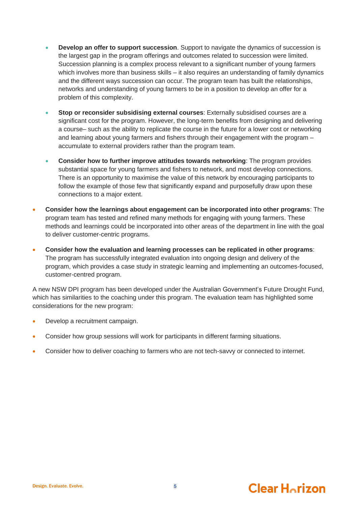- **Develop an offer to support succession**. Support to navigate the dynamics of succession is the largest gap in the program offerings and outcomes related to succession were limited. Succession planning is a complex process relevant to a significant number of young farmers which involves more than business skills – it also requires an understanding of family dynamics and the different ways succession can occur. The program team has built the relationships, networks and understanding of young farmers to be in a position to develop an offer for a problem of this complexity.
- **Stop or reconsider subsidising external courses**: Externally subsidised courses are a significant cost for the program. However, the long-term benefits from designing and delivering a course– such as the ability to replicate the course in the future for a lower cost or networking and learning about young farmers and fishers through their engagement with the program – accumulate to external providers rather than the program team.
- **Consider how to further improve attitudes towards networking**: The program provides substantial space for young farmers and fishers to network, and most develop connections. There is an opportunity to maximise the value of this network by encouraging participants to follow the example of those few that significantly expand and purposefully draw upon these connections to a major extent.
- **Consider how the learnings about engagement can be incorporated into other programs**: The program team has tested and refined many methods for engaging with young farmers. These methods and learnings could be incorporated into other areas of the department in line with the goal to deliver customer-centric programs.
- **Consider how the evaluation and learning processes can be replicated in other programs**: The program has successfully integrated evaluation into ongoing design and delivery of the program, which provides a case study in strategic learning and implementing an outcomes-focused, customer-centred program.

A new NSW DPI program has been developed under the Australian Government's Future Drought Fund, which has similarities to the coaching under this program. The evaluation team has highlighted some considerations for the new program:

- Develop a recruitment campaign.
- Consider how group sessions will work for participants in different farming situations.
- Consider how to deliver coaching to farmers who are not tech-savvy or connected to internet.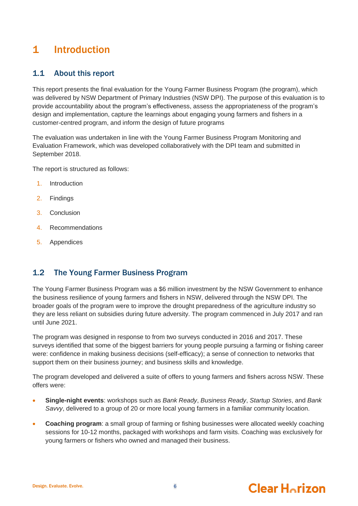## <span id="page-9-0"></span>1 Introduction

## <span id="page-9-1"></span>1.1 About this report

This report presents the final evaluation for the Young Farmer Business Program (the program), which was delivered by NSW Department of Primary Industries (NSW DPI). The purpose of this evaluation is to provide accountability about the program's effectiveness, assess the appropriateness of the program's design and implementation, capture the learnings about engaging young farmers and fishers in a customer-centred program, and inform the design of future programs

The evaluation was undertaken in line with the Young Farmer Business Program Monitoring and Evaluation Framework, which was developed collaboratively with the DPI team and submitted in September 2018.

The report is structured as follows:

- 1. Introduction
- 2. Findings
- 3. Conclusion
- 4. Recommendations
- 5. Appendices

## <span id="page-9-2"></span>1.2 The Young Farmer Business Program

The Young Farmer Business Program was a \$6 million investment by the NSW Government to enhance the business resilience of young farmers and fishers in NSW, delivered through the NSW DPI. The broader goals of the program were to improve the drought preparedness of the agriculture industry so they are less reliant on subsidies during future adversity. The program commenced in July 2017 and ran until June 2021.

The program was designed in response to from two surveys conducted in 2016 and 2017. These surveys identified that some of the biggest barriers for young people pursuing a farming or fishing career were: confidence in making business decisions (self-efficacy); a sense of connection to networks that support them on their business journey; and business skills and knowledge.

The program developed and delivered a suite of offers to young farmers and fishers across NSW. These offers were:

- **Single-night events**: workshops such as *Bank Ready*, *Business Ready*, *Startup Stories*, and *Bank Savvy*, delivered to a group of 20 or more local young farmers in a familiar community location.
- **Coaching program**: a small group of farming or fishing businesses were allocated weekly coaching sessions for 10-12 months, packaged with workshops and farm visits. Coaching was exclusively for young farmers or fishers who owned and managed their business.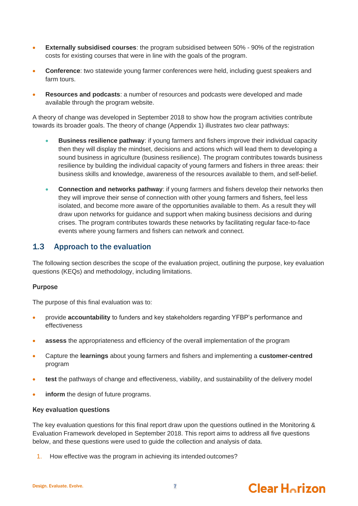- **Externally subsidised courses**: the program subsidised between 50% 90% of the registration costs for existing courses that were in line with the goals of the program.
- **Conference**: two statewide young farmer conferences were held, including guest speakers and farm tours.
- **Resources and podcasts**: a number of resources and podcasts were developed and made available through the program website.

A theory of change was developed in September 2018 to show how the program activities contribute towards its broader goals. The theory of change (Appendix 1) illustrates two clear pathways:

- **Business resilience pathway**: if young farmers and fishers improve their individual capacity then they will display the mindset, decisions and actions which will lead them to developing a sound business in agriculture (business resilience). The program contributes towards business resilience by building the individual capacity of young farmers and fishers in three areas: their business skills and knowledge, awareness of the resources available to them, and self-belief.
- **Connection and networks pathway**: if young farmers and fishers develop their networks then they will improve their sense of connection with other young farmers and fishers, feel less isolated, and become more aware of the opportunities available to them. As a result they will draw upon networks for guidance and support when making business decisions and during crises. The program contributes towards these networks by facilitating regular face-to-face events where young farmers and fishers can network and connect.

## <span id="page-10-0"></span>1.3 Approach to the evaluation

The following section describes the scope of the evaluation project, outlining the purpose, key evaluation questions (KEQs) and methodology, including limitations.

### Purpose

The purpose of this final evaluation was to:

- provide **accountability** to funders and key stakeholders regarding YFBP's performance and effectiveness
- **assess** the appropriateness and efficiency of the overall implementation of the program
- Capture the **learnings** about young farmers and fishers and implementing a **customer-centred** program
- **test** the pathways of change and effectiveness, viability, and sustainability of the delivery model
- **inform** the design of future programs.

### Key evaluation questions

The key evaluation questions for this final report draw upon the questions outlined in the Monitoring & Evaluation Framework developed in September 2018. This report aims to address all five questions below, and these questions were used to guide the collection and analysis of data.

1. How effective was the program in achieving its intended outcomes?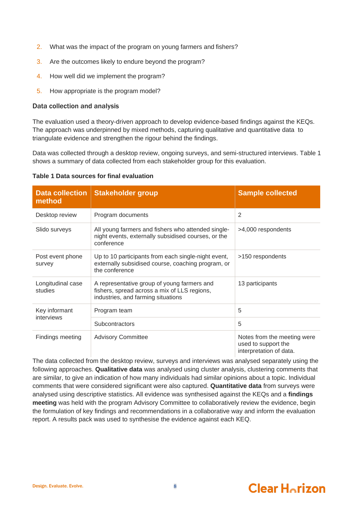- 2. What was the impact of the program on young farmers and fishers?
- 3. Are the outcomes likely to endure beyond the program?
- 4. How well did we implement the program?
- 5. How appropriate is the program model?

### Data collection and analysis

The evaluation used a theory-driven approach to develop evidence-based findings against the KEQs. The approach was underpinned by mixed methods, capturing qualitative and quantitative data to triangulate evidence and strengthen the rigour behind the findings.

Data was collected through a desktop review, ongoing surveys, and semi-structured interviews[. Table 1](#page-11-1) shows a summary of data collected from each stakeholder group for this evaluation.

<span id="page-11-1"></span>

| <b>Data collection</b><br>method | <b>Stakeholder group</b>                                                                                                          | <b>Sample collected</b>                                                       |
|----------------------------------|-----------------------------------------------------------------------------------------------------------------------------------|-------------------------------------------------------------------------------|
| Desktop review                   | Program documents                                                                                                                 | $\overline{2}$                                                                |
| Slido surveys                    | All young farmers and fishers who attended single-<br>night events, externally subsidised courses, or the<br>conference           | >4,000 respondents                                                            |
| Post event phone<br>survey       | Up to 10 participants from each single-night event,<br>externally subsidised course, coaching program, or<br>the conference       | >150 respondents                                                              |
| Longitudinal case<br>studies     | A representative group of young farmers and<br>fishers, spread across a mix of LLS regions,<br>industries, and farming situations | 13 participants                                                               |
| Key informant                    | Program team                                                                                                                      | 5                                                                             |
| interviews                       | Subcontractors                                                                                                                    | 5                                                                             |
| Findings meeting                 | <b>Advisory Committee</b>                                                                                                         | Notes from the meeting were<br>used to support the<br>interpretation of data. |

### <span id="page-11-0"></span>**Table 1 Data sources for final evaluation**

The data collected from the desktop review, surveys and interviews was analysed separately using the following approaches. **Qualitative data** was analysed using cluster analysis, clustering comments that are similar, to give an indication of how many individuals had similar opinions about a topic. Individual comments that were considered significant were also captured. **Quantitative data** from surveys were analysed using descriptive statistics. All evidence was synthesised against the KEQs and a **findings meeting** was held with the program Advisory Committee to collaboratively review the evidence, begin the formulation of key findings and recommendations in a collaborative way and inform the evaluation report. A results pack was used to synthesise the evidence against each KEQ.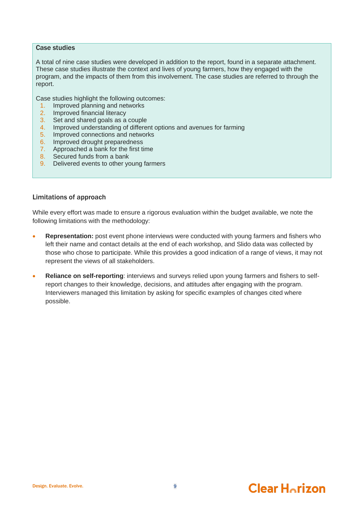### Case studies

A total of nine case studies were developed in addition to the report, found in a separate attachment. These case studies illustrate the context and lives of young farmers, how they engaged with the program, and the impacts of them from this involvement. The case studies are referred to through the report.

Case studies highlight the following outcomes:

- 1. Improved planning and networks
- 2. Improved financial literacy
- 3. Set and shared goals as a couple
- 4. Improved understanding of different options and avenues for farming
- 5. Improved connections and networks
- 6. Improved drought preparedness
- 7. Approached a bank for the first time
- 8. Secured funds from a bank
- 9. Delivered events to other young farmers

### Limitations of approach

While every effort was made to ensure a rigorous evaluation within the budget available, we note the following limitations with the methodology:

- **Representation:** post event phone interviews were conducted with young farmers and fishers who left their name and contact details at the end of each workshop, and Slido data was collected by those who chose to participate. While this provides a good indication of a range of views, it may not represent the views of all stakeholders.
- **Reliance on self-reporting**: interviews and surveys relied upon young farmers and fishers to selfreport changes to their knowledge, decisions, and attitudes after engaging with the program. Interviewers managed this limitation by asking for specific examples of changes cited where possible.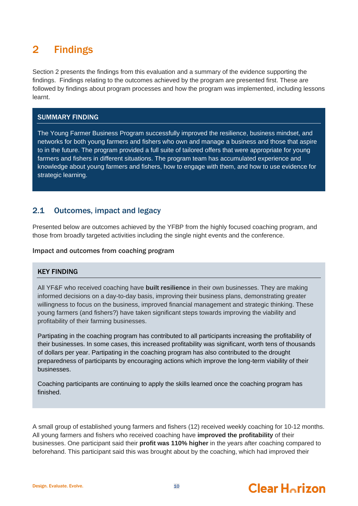## <span id="page-13-0"></span>2 Findings

Section 2 presents the findings from this evaluation and a summary of the evidence supporting the findings. Findings relating to the outcomes achieved by the program are presented first. These are followed by findings about program processes and how the program was implemented, including lessons learnt.

### SUMMARY FINDING

The Young Farmer Business Program successfully improved the resilience, business mindset, and networks for both young farmers and fishers who own and manage a business and those that aspire to in the future. The program provided a full suite of tailored offers that were appropriate for young farmers and fishers in different situations. The program team has accumulated experience and knowledge about young farmers and fishers, how to engage with them, and how to use evidence for strategic learning.

## <span id="page-13-1"></span>2.1 Outcomes, impact and legacy

Presented below are outcomes achieved by the YFBP from the highly focused coaching program, and those from broadly targeted activities including the single night events and the conference.

### Impact and outcomes from coaching program

### KEY FINDING

All YF&F who received coaching have **built resilience** in their own businesses. They are making informed decisions on a day-to-day basis, improving their business plans, demonstrating greater willingness to focus on the business, improved financial management and strategic thinking. These young farmers (and fishers?) have taken significant steps towards improving the viability and profitability of their farming businesses.

Partipating in the coaching program has contributed to all participants increasing the profitability of their businesses. In some cases, this increased profitability was significant, worth tens of thousands of dollars per year. Partipating in the coaching program has also contributed to the drought preparedness of participants by encouraging actions which improve the long-term viability of their businesses.

Coaching participants are continuing to apply the skills learned once the coaching program has finished.

A small group of established young farmers and fishers (12) received weekly coaching for 10-12 months. All young farmers and fishers who received coaching have **improved the profitability** of their businesses. One participant said their **profit was 110% higher** in the years after coaching compared to beforehand. This participant said this was brought about by the coaching, which had improved their

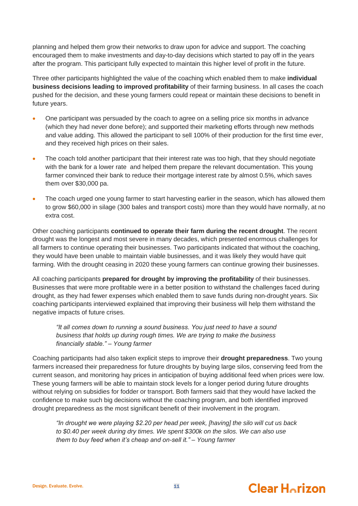planning and helped them grow their networks to draw upon for advice and support. The coaching encouraged them to make investments and day-to-day decisions which started to pay off in the years after the program. This participant fully expected to maintain this higher level of profit in the future.

Three other participants highlighted the value of the coaching which enabled them to make **individual business decisions leading to improved profitability** of their farming business. In all cases the coach pushed for the decision, and these young farmers could repeat or maintain these decisions to benefit in future years.

- One participant was persuaded by the coach to agree on a selling price six months in advance (which they had never done before); and supported their marketing efforts through new methods and value adding. This allowed the participant to sell 100% of their production for the first time ever, and they received high prices on their sales.
- The coach told another participant that their interest rate was too high, that they should negotiate with the bank for a lower rate and helped them prepare the relevant documentation. This young farmer convinced their bank to reduce their mortgage interest rate by almost 0.5%, which saves them over \$30,000 pa.
- The coach urged one young farmer to start harvesting earlier in the season, which has allowed them to grow \$60,000 in silage (300 bales and transport costs) more than they would have normally, at no extra cost.

Other coaching participants **continued to operate their farm during the recent drought**. The recent drought was the longest and most severe in many decades, which presented enormous challenges for all farmers to continue operating their businesses. Two participants indicated that without the coaching, they would have been unable to maintain viable businesses, and it was likely they would have quit farming. With the drought ceasing in 2020 these young farmers can continue growing their businesses.

All coaching participants **prepared for drought by improving the profitability** of their businesses. Businesses that were more profitable were in a better position to withstand the challenges faced during drought, as they had fewer expenses which enabled them to save funds during non-drought years. Six coaching participants interviewed explained that improving their business will help them withstand the negative impacts of future crises.

*"It all comes down to running a sound business. You just need to have a sound business that holds up during rough times. We are trying to make the business financially stable." – Young farmer*

Coaching participants had also taken explicit steps to improve their **drought preparedness**. Two young farmers increased their preparedness for future droughts by buying large silos, conserving feed from the current season, and monitoring hay prices in anticipation of buying additional feed when prices were low. These young farmers will be able to maintain stock levels for a longer period during future droughts without relying on subsidies for fodder or transport. Both farmers said that they would have lacked the confidence to make such big decisions without the coaching program, and both identified improved drought preparedness as the most significant benefit of their involvement in the program.

*"In drought we were playing \$2.20 per head per week, [having] the silo will cut us back to \$0.40 per week during dry times. We spent \$300k on the silos. We can also use them to buy feed when it's cheap and on-sell it." – Young farmer*



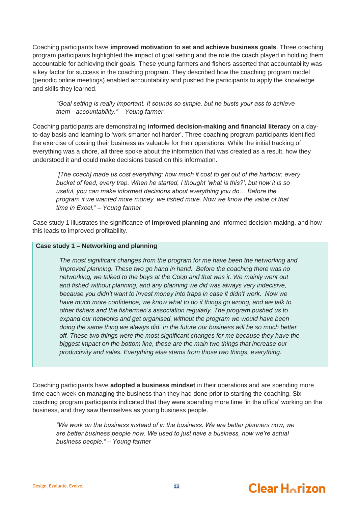Coaching participants have **improved motivation to set and achieve business goals**. Three coaching program participants highlighted the impact of goal setting and the role the coach played in holding them accountable for achieving their goals. These young farmers and fishers asserted that accountability was a key factor for success in the coaching program. They described how the coaching program model (periodic online meetings) enabled accountability and pushed the participants to apply the knowledge and skills they learned.

*"Goal setting is really important. It sounds so simple, but he busts your ass to achieve them - accountability." – Young farmer*

Coaching participants are demonstrating **informed decision-making and financial literacy** on a dayto-day basis and learning to 'work smarter not harder'. Three coaching program participants identified the exercise of costing their business as valuable for their operations. While the initial tracking of everything was a chore, all three spoke about the information that was created as a result, how they understood it and could make decisions based on this information.

*"[The coach] made us cost everything: how much it cost to get out of the harbour, every bucket of feed, every trap. When he started, I thought 'what is this?', but now it is so useful, you can make informed decisions about everything you do… Before the program if we wanted more money, we fished more. Now we know the value of that time in Excel." – Young farmer*

Case study 1 illustrates the significance of **improved planning** and informed decision-making, and how this leads to improved profitability.

### **Case study 1 – Networking and planning**

*The most significant changes from the program for me have been the networking and improved planning. These two go hand in hand. Before the coaching there was no networking, we talked to the boys at the Coop and that was it. We mainly went out and fished without planning, and any planning we did was always very indecisive, because you didn't want to invest money into traps in case it didn't work. Now we have much more confidence, we know what to do if things go wrong, and we talk to other fishers and the fishermen's association regularly. The program pushed us to expand our networks and get organised, without the program we would have been doing the same thing we always did. In the future our business will be so much better off. These two things were the most significant changes for me because they have the biggest impact on the bottom line, these are the main two things that increase our productivity and sales. Everything else stems from those two things, everything.*

Coaching participants have **adopted a business mindset** in their operations and are spending more time each week on managing the business than they had done prior to starting the coaching. Six coaching program participants indicated that they were spending more time 'in the office' working on the business, and they saw themselves as young business people.

*"We work on the business instead of in the business. We are better planners now, we are better business people now. We used to just have a business, now we're actual business people." – Young farmer*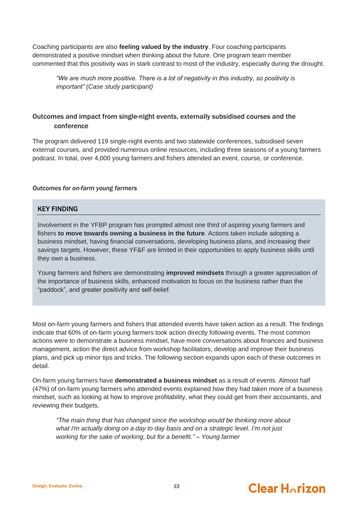Coaching participants are also **feeling valued by the industry**. Four coaching participants demonstrated a positive mindset when thinking about the future. One program team member commented that this positivity was in stark contrast to most of the industry, especially during the drought.

*"We are much more positive. There is a lot of negativity in this industry, so positivity is important" (Case study participant)*

## Outcomes and impact from single-night events, externally subsidised courses and the conference

The program delivered 119 single-night events and two statewide conferences, subsidised seven external courses, and provided numerous online resources, including three seasons of a young farmers podcast. In total, over 4,000 young farmers and fishers attended an event, course, or conference.

### *Outcomes for on-farm young farmers*

### KEY FINDING

Involvement in the YFBP program has prompted almost one third of aspiring young farmers and fishers **to move towards owning a business in the future**. Actions taken include adopting a business mindset, having financial conversations, developing business plans, and increasing their savings targets. However, these YF&F are limited in their opportunities to apply business skills until they own a business.

Young farmers and fishers are demonstrating **improved mindsets** through a greater appreciation of the importance of business skills, enhanced motivation to focus on the business rather than the "paddock", and greater positivity and self-belief.

Most on-farm young farmers and fishers that attended events have taken action as a result. The findings indicate that 60% of on-farm young farmers took action directly following events. The most common actions were to demonstrate a business mindset, have more conversations about finances and business management, action the direct advice from workshop facilitators, develop and improve their business plans, and pick up minor tips and tricks. The following section expands upon each of these outcomes in detail.

On-farm young farmers have **demonstrated a business mindset** as a result of events. Almost half (47%) of on-farm young farmers who attended events explained how they had taken more of a business mindset, such as looking at how to improve profitability, what they could get from their accountants, and reviewing their budgets.

*"The main thing that has changed since the workshop would be thinking more about what I'm actually doing on a day to day basis and on a strategic level. I'm not just working for the sake of working, but for a benefit." – Young farmer*

#### Design. Evaluate. Evolve. **13**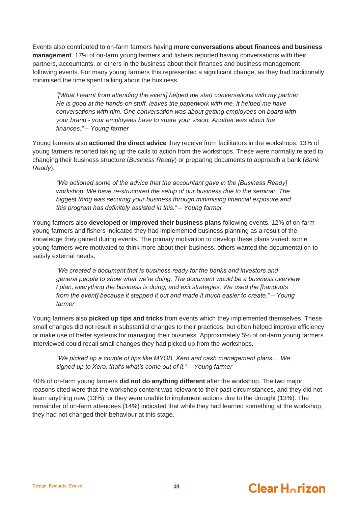Events also contributed to on-farm farmers having **more conversations about finances and business management**. 17% of on-farm young farmers and fishers reported having conversations with their partners, accountants, or others in the business about their finances and business management following events. For many young farmers this represented a significant change, as they had traditionally minimised the time spent talking about the business.

*"[What I learnt from attending the event] helped me start conversations with my partner. He is good at the hands-on stuff, leaves the paperwork with me. It helped me have conversations with him. One conversation was about getting employees on board with your brand - your employees have to share your vision. Another was about the finances." – Young farmer*

Young farmers also **actioned the direct advice** they receive from facilitators in the workshops. 13% of young farmers reported taking up the calls to action from the workshops. These were normally related to changing their business structure (*Business Ready*) or preparing documents to approach a bank (*Bank Ready*).

*"We actioned some of the advice that the accountant gave in the [Business Ready] workshop. We have re-structured the setup of our business due to the seminar. The biggest thing was securing your business through minimising financial exposure and this program has definitely assisted in this." – Young farmer*

Young farmers also **developed or improved their business plans** following events. 12% of on-farm young farmers and fishers indicated they had implemented business planning as a result of the knowledge they gained during events. The primary motivation to develop these plans varied: some young farmers were motivated to think more about their business, others wanted the documentation to satisfy external needs.

*"We created a document that is business ready for the banks and investors and general people to show what we're doing. The document would be a business overview / plan, everything the business is doing, and exit strategies. We used the [handouts from the event] because it stepped it out and made it much easier to create." – Young farmer*

Young farmers also **picked up tips and tricks** from events which they implemented themselves. These small changes did not result in substantial changes to their practices, but often helped improve efficiency or make use of better systems for managing their business. Approximately 5% of on-farm young farmers interviewed could recall small changes they had picked up from the workshops.

*"We picked up a couple of tips like MYOB, Xero and cash management plans.... We signed up to Xero, that's what's come out of it." – Young farmer*

40% of on-farm young farmers **did not do anything different** after the workshop. The two major reasons cited were that the workshop content was relevant to their past circumstances, and they did not learn anything new (13%), or they were unable to implement actions due to the drought (13%). The remainder of on-farm attendees (14%) indicated that while they had learned something at the workshop, they had not changed their behaviour at this stage.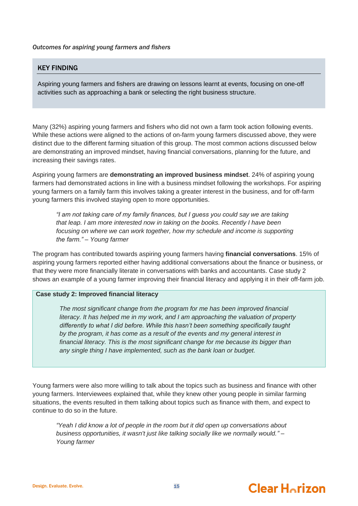### *Outcomes for aspiring young farmers and fishers*

### KEY FINDING

Aspiring young farmers and fishers are drawing on lessons learnt at events, focusing on one-off activities such as approaching a bank or selecting the right business structure.

Many (32%) aspiring young farmers and fishers who did not own a farm took action following events. While these actions were aligned to the actions of on-farm young farmers discussed above, they were distinct due to the different farming situation of this group. The most common actions discussed below are demonstrating an improved mindset, having financial conversations, planning for the future, and increasing their savings rates.

Aspiring young farmers are **demonstrating an improved business mindset**. 24% of aspiring young farmers had demonstrated actions in line with a business mindset following the workshops. For aspiring young farmers on a family farm this involves taking a greater interest in the business, and for off-farm young farmers this involved staying open to more opportunities.

*"I am not taking care of my family finances, but I guess you could say we are taking that leap. I am more interested now in taking on the books. Recently I have been focusing on where we can work together, how my schedule and income is supporting the farm." – Young farmer*

The program has contributed towards aspiring young farmers having **financial conversations**. 15% of aspiring young farmers reported either having additional conversations about the finance or business, or that they were more financially literate in conversations with banks and accountants. Case study 2 shows an example of a young farmer improving their financial literacy and applying it in their off-farm job.

### **Case study 2: Improved financial literacy**

*The most significant change from the program for me has been improved financial literacy. It has helped me in my work, and I am approaching the valuation of property differently to what I did before. While this hasn't been something specifically taught by the program, it has come as a result of the events and my general interest in financial literacy. This is the most significant change for me because its bigger than any single thing I have implemented, such as the bank loan or budget.*

Young farmers were also more willing to talk about the topics such as business and finance with other young farmers. Interviewees explained that, while they knew other young people in similar farming situations, the events resulted in them talking about topics such as finance with them, and expect to continue to do so in the future.

*"Yeah I did know a lot of people in the room but it did open up conversations about business opportunities, it wasn't just like talking socially like we normally would." – Young farmer*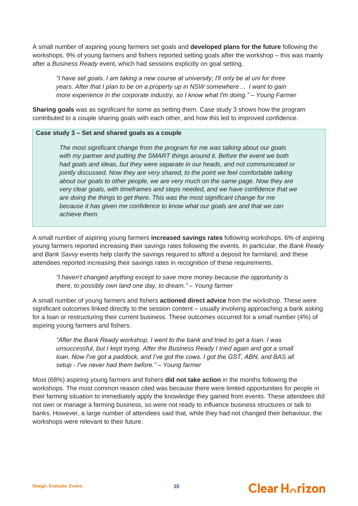A small number of aspiring young farmers set goals and **developed plans for the future** following the workshops. 9% of young farmers and fishers reported setting goals after the workshop – this was mainly after a *Business Ready* event, which had sessions explicitly on goal setting.

*"I have set goals. I am taking a new course at university; I'll only be at uni for three years. After that I plan to be on a property up in NSW somewhere… I want to gain more experience in the corporate industry, so I know what I'm doing." – Young Farmer*

**Sharing goals** was as significant for some as setting them. Case study 3 shows how the program contributed to a couple sharing goals with each other, and how this led to improved confidence.

### **Case study 3 – Set and shared goals as a couple**

*The most significant change from the program for me was talking about our goals with my partner and putting the SMART things around it. Before the event we both had goals and ideas, but they were separate in our heads, and not communicated or jointly discussed. Now they are very shared, to the point we feel comfortable talking about our goals to other people, we are very much on the same page. Now they are very clear goals, with timeframes and steps needed, and we have confidence that we are doing the things to get there. This was the most significant change for me because it has given me confidence to know what our goals are and that we can achieve them.* 

A small number of aspiring young farmers **increased savings rates** following workshops. 6% of aspiring young farmers reported increasing their savings rates following the events. In particular, the *Bank Ready* and *Bank Savvy* events help clarify the savings required to afford a deposit for farmland, and these attendees reported increasing their savings rates in recognition of these requirements.

*"I haven't changed anything except to save more money because the opportunity is there, to possibly own land one day, to dream." – Young farmer*

A small number of young farmers and fishers **actioned direct advice** from the workshop. These were significant outcomes linked directly to the session content – usually involving approaching a bank asking for a loan or restructuring their current business. These outcomes occurred for a small number (4%) of aspiring young farmers and fishers.

*"After the Bank Ready workshop, I went to the bank and tried to get a loan. I was unsuccessful, but I kept trying. After the Business Ready I tried again and got a small loan. Now I've got a paddock, and I've got the cows. I got the GST, ABN, and BAS all setup - I've never had them before." – Young farmer*

Most (68%) aspiring young farmers and fishers **did not take action** in the months following the workshops. The most common reason cited was because there were limited opportunities for people in their farming situation to immediately apply the knowledge they gained from events. These attendees did not own or manage a farming business, so were not ready to influence business structures or talk to banks. However, a large number of attendees said that, while they had not changed their behaviour, the workshops were relevant to their future.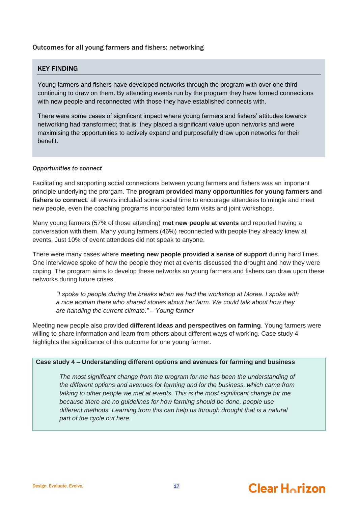### Outcomes for all young farmers and fishers: networking

### KEY FINDING

Young farmers and fishers have developed networks through the program with over one third continuing to draw on them. By attending events run by the program they have formed connections with new people and reconnected with those they have established connects with.

There were some cases of significant impact where young farmers and fishers' attitudes towards networking had transformed; that is, they placed a significant value upon networks and were maximising the opportunities to actively expand and purposefully draw upon networks for their benefit.

### *Opportunities to connect*

Facilitating and supporting social connections between young farmers and fishers was an important principle underlying the prorgam. The **program provided many opportunities for young farmers and fishers to connect**: all events included some social time to encourage attendees to mingle and meet new people, even the coaching programs incorporated farm visits and joint workshops.

Many young farmers (57% of those attending) **met new people at events** and reported having a conversation with them. Many young farmers (46%) reconnected with people they already knew at events. Just 10% of event attendees did not speak to anyone.

There were many cases where **meeting new people provided a sense of support** during hard times. One interviewee spoke of how the people they met at events discussed the drought and how they were coping. The program aims to develop these networks so young farmers and fishers can draw upon these networks during future crises.

*"I spoke to people during the breaks when we had the workshop at Moree. I spoke with a nice woman there who shared stories about her farm. We could talk about how they are handling the current climate." – Young farmer*

Meeting new people also provided **different ideas and perspectives on farming**. Young farmers were willing to share information and learn from others about different ways of working. Case study 4 highlights the significance of this outcome for one young farmer.

### **Case study 4 – Understanding different options and avenues for farming and business**

*The most significant change from the program for me has been the understanding of the different options and avenues for farming and for the business, which came from talking to other people we met at events. This is the most significant change for me because there are no guidelines for how farming should be done, people use different methods. Learning from this can help us through drought that is a natural part of the cycle out here.*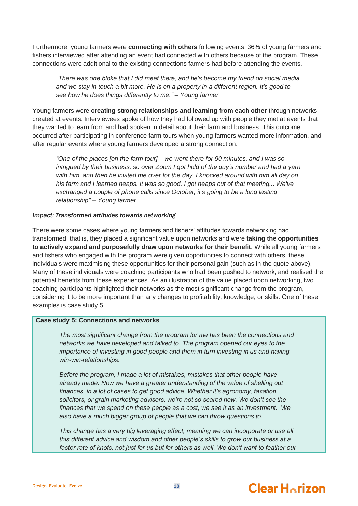Furthermore, young farmers were **connecting with others** following events. 36% of young farmers and fishers interviewed after attending an event had connected with others because of the program. These connections were additional to the existing connections farmers had before attending the events.

*"There was one bloke that I did meet there, and he's become my friend on social media and we stay in touch a bit more. He is on a property in a different region. It's good to see how he does things differently to me." – Young farmer*

Young farmers were **creating strong relationships and learning from each other** through networks created at events. Interviewees spoke of how they had followed up with people they met at events that they wanted to learn from and had spoken in detail about their farm and business. This outcome occurred after participating in conference farm tours when young farmers wanted more information, and after regular events where young farmers developed a strong connection.

*"One of the places [on the farm tour] – we went there for 90 minutes, and I was so intrigued by their business, so over Zoom I got hold of the guy's number and had a yarn with him, and then he invited me over for the day. I knocked around with him all day on his farm and I learned heaps. It was so good, I got heaps out of that meeting... We've exchanged a couple of phone calls since October, it's going to be a long lasting relationship" – Young farmer*

### *Impact: Transformed attitudes towards networking*

There were some cases where young farmers and fishers' attitudes towards networking had transformed; that is, they placed a significant value upon networks and were **taking the opportunities to actively expand and purposefully draw upon networks for their benefit**. While all young farmers and fishers who engaged with the program were given opportunities to connect with others, these individuals were maximising these opportunities for their personal gain (such as in the quote above). Many of these individuals were coaching participants who had been pushed to network, and realised the potential benefits from these experiences. As an illustration of the value placed upon networking, two coaching participants highlighted their networks as the most significant change from the program, considering it to be more important than any changes to profitability, knowledge, or skills. One of these examples is case study 5.

### **Case study 5: Connections and networks**

*The most significant change from the program for me has been the connections and networks we have developed and talked to. The program opened our eyes to the importance of investing in good people and them in turn investing in us and having win-win-relationships.* 

*Before the program, I made a lot of mistakes, mistakes that other people have already made. Now we have a greater understanding of the value of shelling out finances, in a lot of cases to get good advice. Whether it's agronomy, taxation, solicitors, or grain marketing advisors, we're not so scared now. We don't see the finances that we spend on these people as a cost, we see it as an investment. We also have a much bigger group of people that we can throw questions to.* 

*This change has a very big leveraging effect, meaning we can incorporate or use all this different advice and wisdom and other people's skills to grow our business at a*  faster rate of knots, not just for us but for others as well. We don't want to feather our

#### Design. Evaluate. Evolve. **18**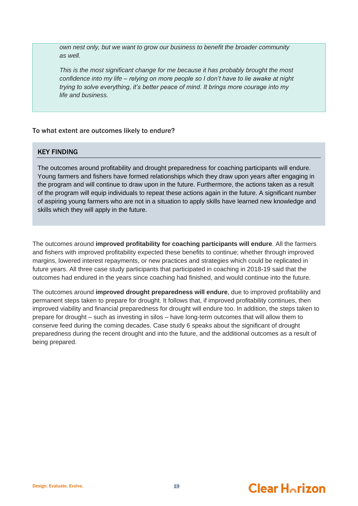*own nest only, but we want to grow our business to benefit the broader community as well.* 

*This is the most significant change for me because it has probably brought the most confidence into my life – relying on more people so I don't have to lie awake at night trying to solve everything, it's better peace of mind. It brings more courage into my life and business.*

### To what extent are outcomes likely to endure?

### KEY FINDING

The outcomes around profitability and drought preparedness for coaching participants will endure. Young farmers and fishers have formed relationships which they draw upon years after engaging in the program and will continue to draw upon in the future. Furthermore, the actions taken as a result of the program will equip individuals to repeat these actions again in the future. A significant number of aspiring young farmers who are not in a situation to apply skills have learned new knowledge and skills which they will apply in the future.

The outcomes around **improved profitability for coaching participants will endure**. All the farmers and fishers with improved profitability expected these benefits to continue; whether through improved margins, lowered interest repayments, or new practices and strategies which could be replicated in future years. All three case study participants that participated in coaching in 2018-19 said that the outcomes had endured in the years since coaching had finished, and would continue into the future.

The outcomes around **improved drought preparedness will endure**, due to improved profitability and permanent steps taken to prepare for drought. It follows that, if improved profitability continues, then improved viability and financial preparedness for drought will endure too. In addition, the steps taken to prepare for drought – such as investing in silos – have long-term outcomes that will allow them to conserve feed during the coming decades. Case study 6 speaks about the significant of drought preparedness during the recent drought and into the future, and the additional outcomes as a result of being prepared.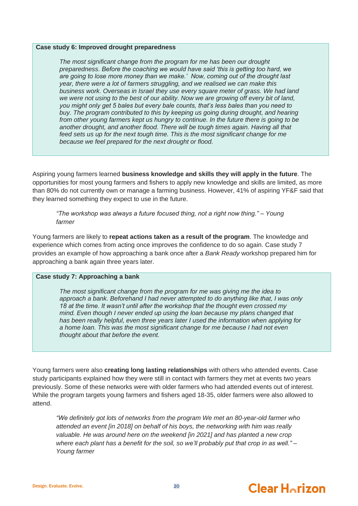#### **Case study 6: Improved drought preparedness**

*The most significant change from the program for me has been our drought preparedness. Before the coaching we would have said 'this is getting too hard, we are going to lose more money than we make.' Now, coming out of the drought last year, there were a lot of farmers struggling, and we realised we can make this business work. Overseas in Israel they use every square meter of grass. We had land we were not using to the best of our ability. Now we are growing off every bit of land, you might only get 5 bales but every bale counts, that's less bales than you need to buy. The program contributed to this by keeping us going during drought, and hearing from other young farmers kept us hungry to continue. In the future there is going to be another drought, and another flood. There will be tough times again. Having all that feed sets us up for the next tough time. This is the most significant change for me because we feel prepared for the next drought or flood.* 

Aspiring young farmers learned **business knowledge and skills they will apply in the future**. The opportunities for most young farmers and fishers to apply new knowledge and skills are limited, as more than 80% do not currently own or manage a farming business. However, 41% of aspiring YF&F said that they learned something they expect to use in the future.

*"The workshop was always a future focused thing, not a right now thing." – Young farmer*

Young farmers are likely to **repeat actions taken as a result of the program**. The knowledge and experience which comes from acting once improves the confidence to do so again. Case study 7 provides an example of how approaching a bank once after a *Bank Ready* workshop prepared him for approaching a bank again three years later.

### **Case study 7: Approaching a bank**

*The most significant change from the program for me was giving me the idea to approach a bank. Beforehand I had never attempted to do anything like that, I was only 18 at the time. It wasn't until after the workshop that the thought even crossed my mind. Even though I never ended up using the loan because my plans changed that has been really helpful, even three years later I used the information when applying for a home loan. This was the most significant change for me because I had not even thought about that before the event.* 

Young farmers were also **creating long lasting relationships** with others who attended events. Case study participants explained how they were still in contact with farmers they met at events two years previously. Some of these networks were with older farmers who had attended events out of interest. While the program targets young farmers and fishers aged 18-35, older farmers were also allowed to attend.

*"We definitely got lots of networks from the program We met an 80-year-old farmer who attended an event [in 2018] on behalf of his boys, the networking with him was really valuable. He was around here on the weekend [in 2021] and has planted a new crop where each plant has a benefit for the soil, so we'll probably put that crop in as well." – Young farmer*



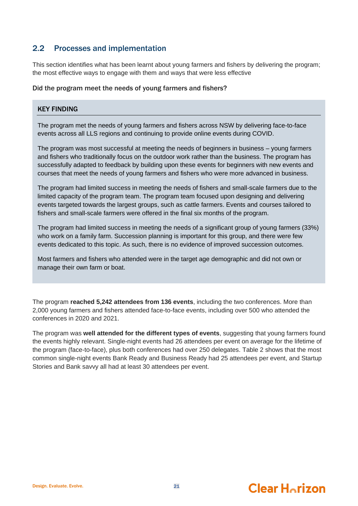## <span id="page-24-0"></span>2.2 Processes and implementation

This section identifies what has been learnt about young farmers and fishers by delivering the program; the most effective ways to engage with them and ways that were less effective

### Did the program meet the needs of young farmers and fishers?

### KEY FINDING

The program met the needs of young farmers and fishers across NSW by delivering face-to-face events across all LLS regions and continuing to provide online events during COVID.

The program was most successful at meeting the needs of beginners in business – young farmers and fishers who traditionally focus on the outdoor work rather than the business. The program has successfully adapted to feedback by building upon these events for beginners with new events and courses that meet the needs of young farmers and fishers who were more advanced in business.

The program had limited success in meeting the needs of fishers and small-scale farmers due to the limited capacity of the program team. The program team focused upon designing and delivering events targeted towards the largest groups, such as cattle farmers. Events and courses tailored to fishers and small-scale farmers were offered in the final six months of the program.

The program had limited success in meeting the needs of a significant group of young farmers (33%) who work on a family farm. Succession planning is important for this group, and there were few events dedicated to this topic. As such, there is no evidence of improved succession outcomes.

Most farmers and fishers who attended were in the target age demographic and did not own or manage their own farm or boat.

The program **reached 5,242 attendees from 136 events**, including the two conferences. More than 2,000 young farmers and fishers attended face-to-face events, including over 500 who attended the conferences in 2020 and 2021.

The program was **well attended for the different types of events**, suggesting that young farmers found the events highly relevant. Single-night events had 26 attendees per event on average for the lifetime of the program (face-to-face), plus both conferences had over 250 delegates. [Table 2](#page-25-0) shows that the most common single-night events Bank Ready and Business Ready had 25 attendees per event, and Startup Stories and Bank savvy all had at least 30 attendees per event.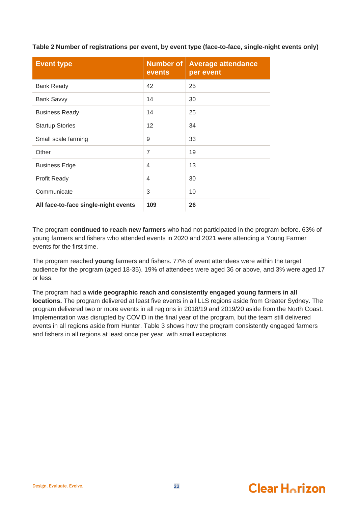<span id="page-25-0"></span>**Table 2 Number of registrations per event, by event type (face-to-face, single-night events only)**

| <b>Event type</b>                    | <b>Number of</b><br>events | <b>Average attendance</b><br>per event |
|--------------------------------------|----------------------------|----------------------------------------|
| <b>Bank Ready</b>                    | 42                         | 25                                     |
| <b>Bank Savvy</b>                    | 14                         | 30                                     |
| <b>Business Ready</b>                | 14                         | 25                                     |
| <b>Startup Stories</b>               | 12                         | 34                                     |
| Small scale farming                  | 9                          | 33                                     |
| Other                                | $\overline{7}$             | 19                                     |
| <b>Business Edge</b>                 | 4                          | 13                                     |
| <b>Profit Ready</b>                  | 4                          | 30                                     |
| Communicate                          | 3                          | 10                                     |
| All face-to-face single-night events | 109                        | 26                                     |

The program **continued to reach new farmers** who had not participated in the program before. 63% of young farmers and fishers who attended events in 2020 and 2021 were attending a Young Farmer events for the first time.

The program reached **young** farmers and fishers. 77% of event attendees were within the target audience for the program (aged 18-35). 19% of attendees were aged 36 or above, and 3% were aged 17 or less.

The program had a **wide geographic reach and consistently engaged young farmers in all locations.** The program delivered at least five events in all LLS regions aside from Greater Sydney. The program delivered two or more events in all regions in 2018/19 and 2019/20 aside from the North Coast. Implementation was disrupted by COVID in the final year of the program, but the team still delivered events in all regions aside from Hunter. [Table 3](#page-26-0) shows how the program consistently engaged farmers and fishers in all regions at least once per year, with small exceptions.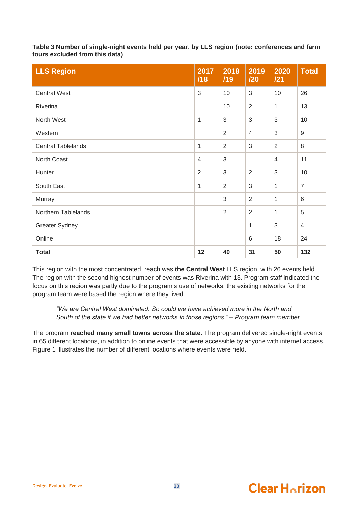<span id="page-26-0"></span>**Table 3 Number of single-night events held per year, by LLS region (note: conferences and farm tours excluded from this data)**

| <b>LLS Region</b>         | 2017<br>/18    | 2018<br>/19    | 2019<br>120    | 2020<br>121  | <b>Total</b>   |
|---------------------------|----------------|----------------|----------------|--------------|----------------|
| <b>Central West</b>       | 3              | 10             | 3              | 10           | 26             |
| Riverina                  |                | 10             | $\overline{2}$ | 1            | 13             |
| North West                | 1              | 3              | 3              | 3            | 10             |
| Western                   |                | $\overline{2}$ | 4              | 3            | $9\,$          |
| <b>Central Tablelands</b> | 1              | 2              | 3              | 2            | 8              |
| North Coast               | 4              | $\mathfrak{S}$ |                | 4            | 11             |
| Hunter                    | $\overline{2}$ | 3              | $\overline{2}$ | 3            | 10             |
| South East                | 1              | $\overline{2}$ | 3              | 1            | $\overline{7}$ |
| Murray                    |                | $\sqrt{3}$     | $\overline{2}$ | 1            | 6              |
| Northern Tablelands       |                | $\overline{2}$ | $\overline{2}$ | $\mathbf{1}$ | 5              |
| <b>Greater Sydney</b>     |                |                | 1              | $\sqrt{3}$   | 4              |
| Online                    |                |                | 6              | 18           | 24             |
| <b>Total</b>              | 12             | 40             | 31             | 50           | 132            |

This region with the most concentrated reach was **the Central West** LLS region, with 26 events held. The region with the second highest number of events was Riverina with 13. Program staff indicated the focus on this region was partly due to the program's use of networks: the existing networks for the program team were based the region where they lived.

*"We are Central West dominated. So could we have achieved more in the North and South of the state if we had better networks in those regions." – Program team member*

The program **reached many small towns across the state**. The program delivered single-night events in 65 different locations, in addition to online events that were accessible by anyone with internet access. [Figure 1](#page-27-1) illustrates the number of different locations where events were held.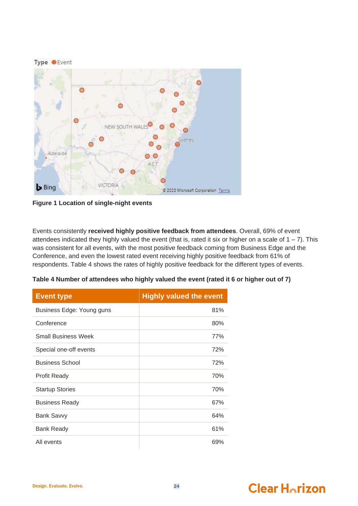

**Figure 1 Location of single-night events**

<span id="page-27-1"></span>Events consistently **received highly positive feedback from attendees**. Overall, 69% of event attendees indicated they highly valued the event (that is, rated it six or higher on a scale of  $1 - 7$ ). This was consistent for all events, with the most positive feedback coming from Business Edge and the Conference, and even the lowest rated event receiving highly positive feedback from 61% of respondents. [Table 4](#page-27-0) shows the rates of highly positive feedback for the different types of events.

<span id="page-27-0"></span>

| Table 4 Number of attendees who highly valued the event (rated it 6 or higher out of 7) |  |  |
|-----------------------------------------------------------------------------------------|--|--|
|                                                                                         |  |  |
|                                                                                         |  |  |

| <b>Event type</b>          | <b>Highly valued the event</b> |
|----------------------------|--------------------------------|
| Business Edge: Young guns  | 81%                            |
| Conference                 | 80%                            |
| <b>Small Business Week</b> | 77%                            |
| Special one-off events     | 72%                            |
| <b>Business School</b>     | 72%                            |
| <b>Profit Ready</b>        | 70%                            |
| <b>Startup Stories</b>     | 70%                            |
| <b>Business Ready</b>      | 67%                            |
| <b>Bank Savvy</b>          | 64%                            |
| <b>Bank Ready</b>          | 61%                            |
| All events                 | 69%                            |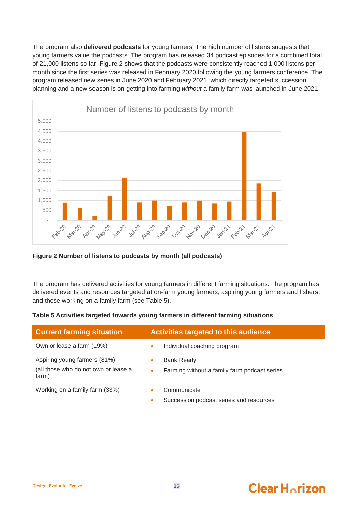The program also **delivered podcasts** for young farmers. The high number of listens suggests that young farmers value the podcasts. The program has released 34 podcast episodes for a combined total of 21,000 listens so far. [Figure 2](#page-28-0) shows that the podcasts were consistently reached 1,000 listens per month since the first series was released in February 2020 following the young farmers conference. The program released new series in June 2020 and February 2021, which directly targeted succession planning and a new season is on getting into farming *without* a family farm was launched in June 2021.



<span id="page-28-0"></span>**Figure 2 Number of listens to podcasts by month (all podcasts)**

The program has delivered activities for young farmers in different farming situations. The program has delivered events and resources targeted at on-farm young farmers, aspiring young farmers and fishers, and those working on a family farm (see [Table 5\)](#page-28-1).

<span id="page-28-1"></span>

|  |  | Table 5 Activities targeted towards young farmers in different farming situations |
|--|--|-----------------------------------------------------------------------------------|
|--|--|-----------------------------------------------------------------------------------|

| <b>Current farming situation</b>                                              | Activities targeted to this audience                                                |  |
|-------------------------------------------------------------------------------|-------------------------------------------------------------------------------------|--|
| Own or lease a farm (19%)                                                     | Individual coaching program<br>۰                                                    |  |
| Aspiring young farmers (81%)<br>(all those who do not own or lease a<br>farm) | <b>Bank Ready</b><br>$\bullet$<br>Farming without a family farm podcast series<br>۰ |  |
| Working on a family farm (33%)                                                | Communicate<br>Succession podcast series and resources<br>$\bullet$                 |  |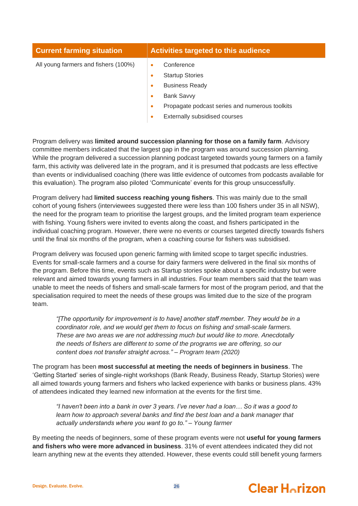| <b>Current farming situation</b>     |           | Activities targeted to this audience           |
|--------------------------------------|-----------|------------------------------------------------|
| All young farmers and fishers (100%) |           | Conference                                     |
|                                      | ٠         | <b>Startup Stories</b>                         |
|                                      | ٠         | <b>Business Ready</b>                          |
|                                      | $\bullet$ | <b>Bank Savvy</b>                              |
|                                      | ٠         | Propagate podcast series and numerous toolkits |
|                                      | ٠         | Externally subsidised courses                  |

Program delivery was **limited around succession planning for those on a family farm**. Advisory committee members indicated that the largest gap in the program was around succession planning. While the program delivered a succession planning podcast targeted towards young farmers on a family farm, this activity was delivered late in the program, and it is presumed that podcasts are less effective than events or individualised coaching (there was little evidence of outcomes from podcasts available for this evaluation). The program also piloted 'Communicate' events for this group unsuccessfully.

Program delivery had **limited success reaching young fishers**. This was mainly due to the small cohort of young fishers (interviewees suggested there were less than 100 fishers under 35 in all NSW), the need for the program team to prioritise the largest groups, and the limited program team experience with fishing. Young fishers were invited to events along the coast, and fishers participated in the individual coaching program. However, there were no events or courses targeted directly towards fishers until the final six months of the program, when a coaching course for fishers was subsidised.

Program delivery was focused upon generic farming with limited scope to target specific industries. Events for small-scale farmers and a course for dairy farmers were delivered in the final six months of the program. Before this time, events such as Startup stories spoke about a specific industry but were relevant and aimed towards young farmers in all industries. Four team members said that the team was unable to meet the needs of fishers and small-scale farmers for most of the program period, and that the specialisation required to meet the needs of these groups was limited due to the size of the program team.

*"[The opportunity for improvement is to have] another staff member. They would be in a coordinator role, and we would get them to focus on fishing and small-scale farmers. These are two areas we are not addressing much but would like to more. Anecdotally the needs of fishers are different to some of the programs we are offering, so our content does not transfer straight across." – Program team (2020)*

The program has been **most successful at meeting the needs of beginners in business**. The 'Getting Started' series of single-night workshops (Bank Ready, Business Ready, Startup Stories) were all aimed towards young farmers and fishers who lacked experience with banks or business plans. 43% of attendees indicated they learned new information at the events for the first time.

*"I haven't been into a bank in over 3 years. I've never had a loan… So it was a good to learn how to approach several banks and find the best loan and a bank manager that actually understands where you want to go to." – Young farmer*

By meeting the needs of beginners, some of these program events were not **useful for young farmers and fishers who were more advanced in business**. 31% of event attendees indicated they did not learn anything new at the events they attended. However, these events could still benefit young farmers

#### Design. Evaluate. Evolve. 26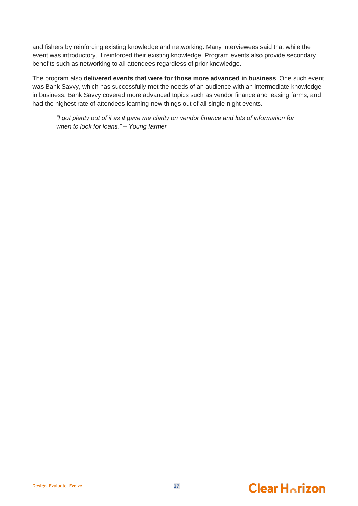and fishers by reinforcing existing knowledge and networking. Many interviewees said that while the event was introductory, it reinforced their existing knowledge. Program events also provide secondary benefits such as networking to all attendees regardless of prior knowledge.

The program also **delivered events that were for those more advanced in business**. One such event was Bank Savvy, which has successfully met the needs of an audience with an intermediate knowledge in business. Bank Savvy covered more advanced topics such as vendor finance and leasing farms, and had the highest rate of attendees learning new things out of all single-night events.

*"I got plenty out of it as it gave me clarity on vendor finance and lots of information for when to look for loans." – Young farmer*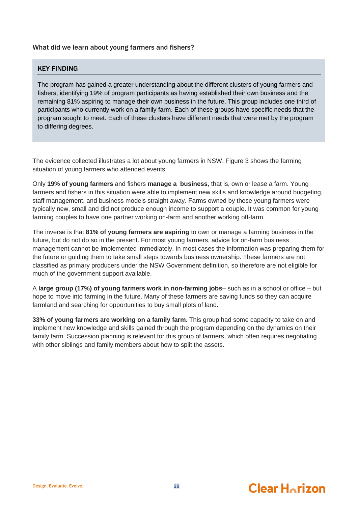### What did we learn about young farmers and fishers?

### KEY FINDING

The program has gained a greater understanding about the different clusters of young farmers and fishers, identifying 19% of program participants as having established their own business and the remaining 81% aspiring to manage their own business in the future. This group includes one third of participants who currently work on a family farm. Each of these groups have specific needs that the program sought to meet. Each of these clusters have different needs that were met by the program to differing degrees.

The evidence collected illustrates a lot about young farmers in NSW. [Figure 3](#page-32-0) shows the farming situation of young farmers who attended events:

Only **19% of young farmers** and fishers **manage a business**, that is, own or lease a farm. Young farmers and fishers in this situation were able to implement new skills and knowledge around budgeting, staff management, and business models straight away. Farms owned by these young farmers were typically new, small and did not produce enough income to support a couple. It was common for young farming couples to have one partner working on-farm and another working off-farm.

The inverse is that **81% of young farmers are aspiring** to own or manage a farming business in the future, but do not do so in the present. For most young farmers, advice for on-farm business management cannot be implemented immediately. In most cases the information was preparing them for the future or guiding them to take small steps towards business ownership. These farmers are not classified as primary producers under the NSW Government definition, so therefore are not eligible for much of the government support available.

A **large group (17%) of young farmers work in non-farming jobs**– such as in a school or office – but hope to move into farming in the future. Many of these farmers are saving funds so they can acquire farmland and searching for opportunities to buy small plots of land.

**33% of young farmers are working on a family farm**. This group had some capacity to take on and implement new knowledge and skills gained through the program depending on the dynamics on their family farm. Succession planning is relevant for this group of farmers, which often requires negotiating with other siblings and family members about how to split the assets.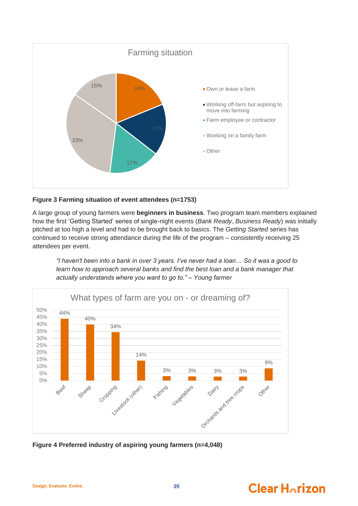

### <span id="page-32-0"></span>**Figure 3 Farming situation of event attendees (n=1753)**

A large group of young farmers were **beginners in business**. Two program team members explained how the first 'Getting Started' series of single-night events (*Bank Ready*, *Business Ready*) was initially pitched at too high a level and had to be brought back to basics. The *Getting Started* series has continued to receive strong attendance during the life of the program – consistently receiving 25 attendees per event.

*"I haven't been into a bank in over 3 years. I've never had a loan… So it was a good to learn how to approach several banks and find the best loan and a bank manager that actually understands where you want to go to." – Young farmer*



<span id="page-32-1"></span>**Figure 4 Preferred industry of aspiring young farmers (n=4,048)**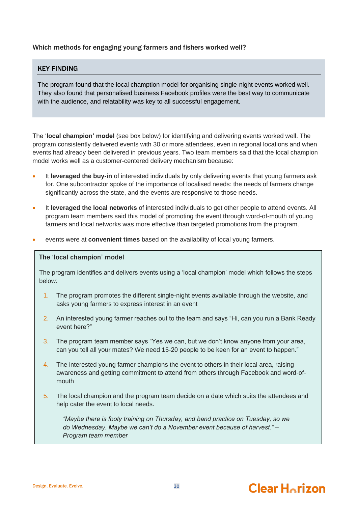### Which methods for engaging young farmers and fishers worked well?

### KEY FINDING

The program found that the local chamption model for organising single-night events worked well. They also found that personalised business Facebook profiles were the best way to communicate with the audience, and relatability was key to all successful engagement.

The '**local champion' model** (see box below) for identifying and delivering events worked well. The program consistently delivered events with 30 or more attendees, even in regional locations and when events had already been delivered in previous years. Two team members said that the local champion model works well as a customer-centered delivery mechanism because:

- It **leveraged the buy-in** of interested individuals by only delivering events that young farmers ask for. One subcontractor spoke of the importance of localised needs: the needs of farmers change significantly across the state, and the events are responsive to those needs.
- It **leveraged the local networks** of interested individuals to get other people to attend events. All program team members said this model of promoting the event through word-of-mouth of young farmers and local networks was more effective than targeted promotions from the program.
- events were at **convenient times** based on the availability of local young farmers.

### The 'local champion' model

The program identifies and delivers events using a 'local champion' model which follows the steps below:

- 1. The program promotes the different single-night events available through the website, and asks young farmers to express interest in an event
- 2. An interested young farmer reaches out to the team and says "Hi, can you run a Bank Ready event here?"
- 3. The program team member says "Yes we can, but we don't know anyone from your area, can you tell all your mates? We need 15-20 people to be keen for an event to happen."
- 4. The interested young farmer champions the event to others in their local area, raising awareness and getting commitment to attend from others through Facebook and word-ofmouth
- 5. The local champion and the program team decide on a date which suits the attendees and help cater the event to local needs.

*"Maybe there is footy training on Thursday, and band practice on Tuesday, so we do Wednesday. Maybe we can't do a November event because of harvest." – Program team member*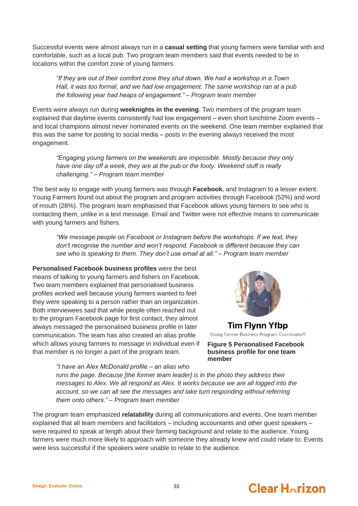Successful events were almost always run in a **casual setting** that young farmers were familiar with and comfortable, such as a local pub. Two program team members said that events needed to be in locations within the comfort zone of young farmers.

*"If they are out of their comfort zone they shut down. We had a workshop in a Town Hall, it was too formal, and we had low engagement. The same workshop ran at a pub the following year had heaps of engagement." – Program team member*

Events were always run during **weeknights in the evening**. Two members of the program team explained that daytime events consistently had low engagement – even short lunchtime Zoom events – and local champions almost never nominated events on the weekend. One team member explained that this was the same for posting to social media – posts in the evening always received the most engagement.

*"Engaging young farmers on the weekends are impossible. Mostly because they only have one day off a week, they are at the pub or the footy. Weekend stuff is really challenging." – Program team member*

The best way to engage with young farmers was through **Facebook**, and Instagram to a lesser extent. Young Farmers found out about the program and program activities through Facebook (52%) and word of mouth (28%). The program team emphasised that Facebook allows young farmers to see who is contacting them, unlike in a text message. Email and Twitter were not effective means to communicate with young farmers and fishers.

*"We message people on Facebook or Instagram before the workshops. If we text, they don't recognise the number and won't respond. Facebook is different because they can see who is speaking to them. They don't use email at all." – Program team member*

**Personalised Facebook business profiles** were the best means of talking to young farmers and fishers on Facebook. Two team members explained that personalised business profiles worked well because young farmers wanted to feel they were speaking to a person rather than an organization. Both interviewees said that while people often reached out to the program Facebook page for first contact, they almost always messaged the personalised business profile in later communication. The team has also created an alias profile which allows young farmers to message in individual even if that member is no longer a part of the program team.



**Tim Flynn Yfbp** Young Farmer Business Program Coordinator!!

**Figure 5 Personalised Facebook business profile for one team member**

*"I have an Alex McDonald profile – an alias who runs the page. Because [the former team leader] is in the photo they address their messages to Alex. We all respond as Alex. It works because we are all logged into the account, so we can all see the messages and take turn responding without referring them onto others." – Program team member*

The program team emphasized **relatability** during all communications and events. One team member explained that all team members and facilitators – including accountants and other guest speakers – were required to speak at length about their farming background and relate to the audience. Young farmers were much more likely to approach with someone they already knew and could relate to. Events were less successful if the speakers were unable to relate to the audience.

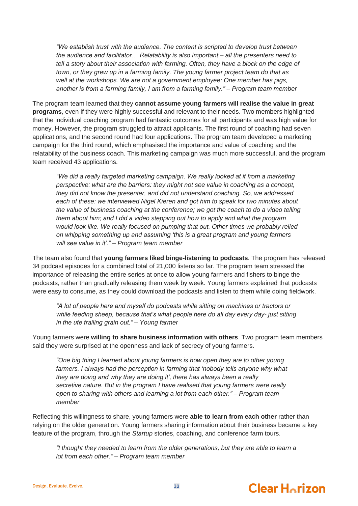*"We establish trust with the audience. The content is scripted to develop trust between the audience and facilitator… Relatability is also important – all the presenters need to tell a story about their association with farming. Often, they have a block on the edge of town, or they grew up in a farming family. The young farmer project team do that as well at the workshops. We are not a government employee: One member has pigs, another is from a farming family, I am from a farming family." – Program team member*

The program team learned that they **cannot assume young farmers will realise the value in great programs**, even if they were highly successful and relevant to their needs. Two members highlighted that the individual coaching program had fantastic outcomes for all participants and was high value for money. However, the program struggled to attract applicants. The first round of coaching had seven applications, and the second round had four applications. The program team developed a marketing campaign for the third round, which emphasised the importance and value of coaching and the relatability of the business coach. This marketing campaign was much more successful, and the program team received 43 applications.

*"We did a really targeted marketing campaign. We really looked at it from a marketing perspective: what are the barriers: they might not see value in coaching as a concept, they did not know the presenter, and did not understand coaching. So, we addressed each of these: we interviewed Nigel Kieren and got him to speak for two minutes about the value of business coaching at the conference; we got the coach to do a video telling them about him; and I did a video stepping out how to apply and what the program would look like. We really focused on pumping that out. Other times we probably relied on whipping something up and assuming 'this is a great program and young farmers will see value in it'." – Program team member*

The team also found that **young farmers liked binge-listening to podcasts**. The program has released 34 podcast episodes for a combined total of 21,000 listens so far. The program team stressed the importance of releasing the entire series at once to allow young farmers and fishers to binge the podcasts, rather than gradually releasing them week by week. Young farmers explained that podcasts were easy to consume, as they could download the podcasts and listen to them while doing fieldwork.

*"A lot of people here and myself do podcasts while sitting on machines or tractors or while feeding sheep, because that's what people here do all day every day- just sitting in the ute trailing grain out." – Young farmer*

Young farmers were **willing to share business information with others**. Two program team members said they were surprised at the openness and lack of secrecy of young farmers.

*"One big thing I learned about young farmers is how open they are to other young farmers. I always had the perception in farming that 'nobody tells anyone why what they are doing and why they are doing it', there has always been a really secretive nature. But in the program I have realised that young farmers were really open to sharing with others and learning a lot from each other." – Program team member*

Reflecting this willingness to share, young farmers were **able to learn from each other** rather than relying on the older generation. Young farmers sharing information about their business became a key feature of the program, through the *Startup* stories, coaching, and conference farm tours.

*"I thought they needed to learn from the older generations, but they are able to learn a lot from each other." – Program team member*

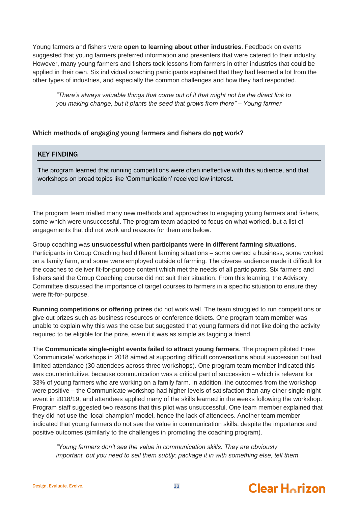Young farmers and fishers were **open to learning about other industries**. Feedback on events suggested that young farmers preferred information and presenters that were catered to their industry. However, many young farmers and fishers took lessons from farmers in other industries that could be applied in their own. Six individual coaching participants explained that they had learned a lot from the other types of industries, and especially the common challenges and how they had responded.

*"There's always valuable things that come out of it that might not be the direct link to you making change, but it plants the seed that grows from there" – Young farmer*

### Which methods of engaging young farmers and fishers do not work?

### KEY FINDING

The program learned that running competitions were often ineffective with this audience, and that workshops on broad topics like 'Communication' received low interest.

The program team trialled many new methods and approaches to engaging young farmers and fishers, some which were unsuccessful. The program team adapted to focus on what worked, but a list of engagements that did not work and reasons for them are below.

Group coaching was **unsuccessful when participants were in different farming situations**. Participants in Group Coaching had different farming situations – some owned a business, some worked on a family farm, and some were employed outside of farming. The diverse audience made it difficult for the coaches to deliver fit-for-purpose content which met the needs of all participants. Six farmers and fishers said the Group Coaching course did not suit their situation. From this learning, the Advisory Committee discussed the importance of target courses to farmers in a specific situation to ensure they were fit-for-purpose.

**Running competitions or offering prizes** did not work well. The team struggled to run competitions or give out prizes such as business resources or conference tickets. One program team member was unable to explain why this was the case but suggested that young farmers did not like doing the activity required to be eligible for the prize, even if it was as simple as tagging a friend.

The **Communicate single-night events failed to attract young farmers**. The program piloted three 'Communicate' workshops in 2018 aimed at supporting difficult conversations about succession but had limited attendance (30 attendees across three workshops). One program team member indicated this was counterintuitive, because communication was a critical part of succession – which is relevant for 33% of young farmers who are working on a family farm. In addition, the outcomes from the workshop were positive – the Communicate workshop had higher levels of satisfaction than any other single-night event in 2018/19, and attendees applied many of the skills learned in the weeks following the workshop. Program staff suggested two reasons that this pilot was unsuccessful. One team member explained that they did not use the 'local champion' model, hence the lack of attendees. Another team member indicated that young farmers do not see the value in communication skills, despite the importance and positive outcomes (similarly to the challenges in promoting the coaching program).

*"Young farmers don't see the value in communication skills. They are obviously important, but you need to sell them subtly: package it in with something else, tell them*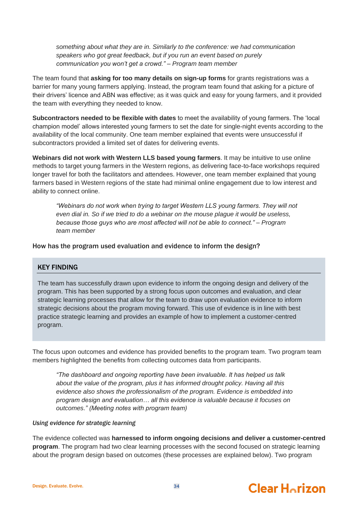*something about what they are in. Similarly to the conference: we had communication speakers who got great feedback, but if you run an event based on purely communication you won't get a crowd." – Program team member*

The team found that **asking for too many details on sign-up forms** for grants registrations was a barrier for many young farmers applying. Instead, the program team found that asking for a picture of their drivers' licence and ABN was effective; as it was quick and easy for young farmers, and it provided the team with everything they needed to know.

**Subcontractors needed to be flexible with dates** to meet the availability of young farmers. The 'local champion model' allows interested young farmers to set the date for single-night events according to the availability of the local community. One team member explained that events were unsuccessful if subcontractors provided a limited set of dates for delivering events.

**Webinars did not work with Western LLS based young farmers**. It may be intuitive to use online methods to target young farmers in the Western regions, as delivering face-to-face workshops required longer travel for both the facilitators and attendees. However, one team member explained that young farmers based in Western regions of the state had minimal online engagement due to low interest and ability to connect online.

*"Webinars do not work when trying to target Western LLS young farmers. They will not even dial in. So if we tried to do a webinar on the mouse plague it would be useless, because those guys who are most affected will not be able to connect." – Program team member*

How has the program used evaluation and evidence to inform the design?

### KEY FINDING

The team has successfully drawn upon evidence to inform the ongoing design and delivery of the program. This has been supported by a strong focus upon outcomes and evaluation, and clear strategic learning processes that allow for the team to draw upon evaluation evidence to inform strategic decisions about the program moving forward. This use of evidence is in line with best practice strategic learning and provides an example of how to implement a customer-centred program.

The focus upon outcomes and evidence has provided benefits to the program team. Two program team members highlighted the benefits from collecting outcomes data from participants.

*"The dashboard and ongoing reporting have been invaluable. It has helped us talk about the value of the program, plus it has informed drought policy. Having all this evidence also shows the professionalism of the program. Evidence is embedded into program design and evaluation… all this evidence is valuable because it focuses on outcomes." (Meeting notes with program team)*

### *Using evidence for strategic learning*

The evidence collected was **harnessed to inform ongoing decisions and deliver a customer-centred program**. The program had two clear learning processes with the second focused on strategic learning about the program design based on outcomes (these processes are explained below). Two program

#### Design. Evaluate. Evolve. **34**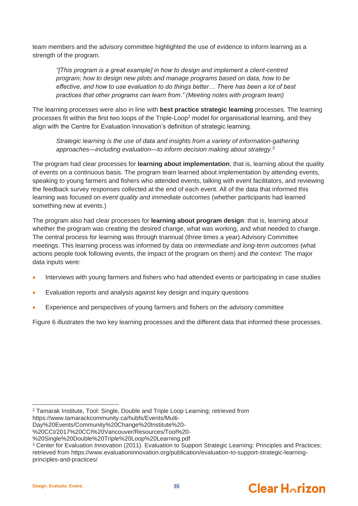team members and the advisory committee highlighted the use of evidence to inform learning as a strength of the program.

*"[This program is a great example] in how to design and implement a client-centred program; how to design new pilots and manage programs based on data, how to be effective, and how to use evaluation to do things better… There has been a lot of best practices that other programs can learn from." (Meeting notes with program team)*

The learning processes were also in line with **best practice strategic learning** processes. The learning processes fit within the first two loops of the Triple-Loop<sup>2</sup> model for organisational learning, and they align with the Centre for Evaluation Innovation's definition of strategic learning.

*Strategic learning is the use of data and insights from a variety of information-gathering approaches—including evaluation—to inform decision making about strategy.*<sup>3</sup>

The program had clear processes for **learning about implementation**; that is, learning about the quality of events on a continuous basis. The program team learned about implementation by attending events, speaking to young farmers and fishers who attended events, talking with event facilitators, and reviewing the feedback survey responses collected at the end of each event. All of the data that informed this learning was focused on *event quality and immediate outcomes* (whether participants had learned something new at events.)

The program also had clear processes for **learning about program design**: that is, learning about whether the program was creating the desired change, what was working, and what needed to change. The central process for learning was through triannual (three times a year) Advisory Committee meetings. This learning process was informed by data on *intermediate and long-term outcomes* (what actions people took following events, the impact of the program on them) and *the context*: The major data inputs were:

- Interviews with young farmers and fishers who had attended events or participating in case studies
- Evaluation reports and analysis against key design and inquiry questions
- Experience and perspectives of young farmers and fishers on the advisory committee

[Figure 6](#page-39-0) illustrates the two key learning processes and the different data that informed these processes.



<sup>2</sup> Tamarak Institute, Tool: Single, Double and Triple Loop Learning; retrieved from https://www.tamarackcommunity.ca/hubfs/Events/Multi-

Day%20Events/Community%20Change%20Institute%20-

<sup>%20</sup>CCI/2017%20CCI%20Vancouver/Resources/Tool%20-

<sup>%20</sup>Single%20Double%20Triple%20Loop%20Learning.pdf

<sup>&</sup>lt;sup>3</sup> Center for Evaluation Innovation (2011). Evaluation to Support Strategic Learning: Principles and Practices; retrieved from https://www.evaluationinnovation.org/publication/evaluation-to-support-strategic-learningprinciples-and-practices/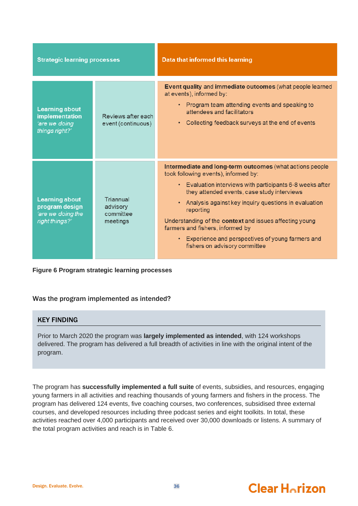| <b>Strategic learning processes</b>                                               |                                                | Data that informed this learning                                                                                                                                                                                                                                                                                                                                                                                                                                        |
|-----------------------------------------------------------------------------------|------------------------------------------------|-------------------------------------------------------------------------------------------------------------------------------------------------------------------------------------------------------------------------------------------------------------------------------------------------------------------------------------------------------------------------------------------------------------------------------------------------------------------------|
| <b>Learning about</b><br><b>implementation</b><br>'are we doing<br>things right?' | Reviews after each<br>event (continuous)       | Event quality and immediate outcomes (what people learned<br>at events), informed by:<br>• Program team attending events and speaking to<br>attendees and facilitators<br>• Collecting feedback surveys at the end of events                                                                                                                                                                                                                                            |
| <b>Learning about</b><br>program design<br>'are we doing the<br>right things?'    | Triannual<br>advisory<br>committee<br>meetings | Intermediate and long-term outcomes (what actions people<br>took following events), informed by:<br>• Evaluation interviews with participants 6-8 weeks after<br>they attended events, case study interviews<br>Analysis against key inquiry questions in evaluation<br>reporting<br>Understanding of the context and issues affecting young<br>farmers and fishers, informed by<br>• Experience and perspectives of young farmers and<br>fishers on advisory committee |

### <span id="page-39-0"></span>**Figure 6 Program strategic learning processes**

### Was the program implemented as intended?

## KEY FINDING

Prior to March 2020 the program was **largely implemented as intended**, with 124 workshops delivered. The program has delivered a full breadth of activities in line with the original intent of the program.

The program has **successfully implemented a full suite** of events, subsidies, and resources, engaging young farmers in all activities and reaching thousands of young farmers and fishers in the process. The program has delivered 124 events, five coaching courses, two conferences, subsidised three external courses, and developed resources including three podcast series and eight toolkits. In total, these activities reached over 4,000 participants and received over 30,000 downloads or listens. A summary of the total program activities and reach is in [Table 6.](#page-40-0)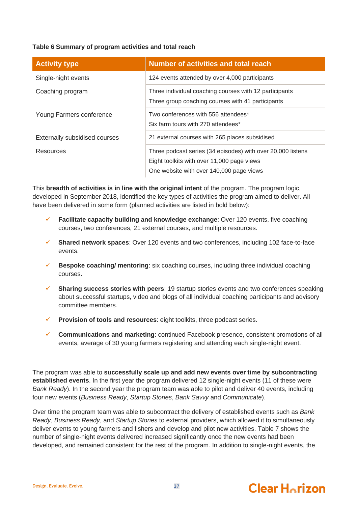### <span id="page-40-0"></span>**Table 6 Summary of program activities and total reach**

| <b>Activity type</b>          | <b>Number of activities and total reach</b>                                                                                                           |
|-------------------------------|-------------------------------------------------------------------------------------------------------------------------------------------------------|
| Single-night events           | 124 events attended by over 4,000 participants                                                                                                        |
| Coaching program              | Three individual coaching courses with 12 participants<br>Three group coaching courses with 41 participants                                           |
| Young Farmers conference      | Two conferences with 556 attendees*<br>Six farm tours with 270 attendees*                                                                             |
| Externally subsidised courses | 21 external courses with 265 places subsidised                                                                                                        |
| <b>Resources</b>              | Three podcast series (34 episodes) with over 20,000 listens<br>Eight toolkits with over 11,000 page views<br>One website with over 140,000 page views |

This **breadth of activities is in line with the original intent** of the program. The program logic, developed in September 2018, identified the key types of activities the program aimed to deliver. All have been delivered in some form (planned activities are listed in bold below):

- **Facilitate capacity building and knowledge exchange:** Over 120 events, five coaching courses, two conferences, 21 external courses, and multiple resources.
- ✓ **Shared network spaces**: Over 120 events and two conferences, including 102 face-to-face events.
- **Bespoke coaching/ mentoring**: six coaching courses, including three individual coaching courses.
- **Sharing success stories with peers**: 19 startup stories events and two conferences speaking about successful startups, video and blogs of all individual coaching participants and advisory committee members.
- **Provision of tools and resources:** eight toolkits, three podcast series.
- ✓ **Communications and marketing**: continued Facebook presence, consistent promotions of all events, average of 30 young farmers registering and attending each single-night event.

The program was able to **successfully scale up and add new events over time by subcontracting established events**. In the first year the program delivered 12 single-night events (11 of these were *Bank Ready*). In the second year the program team was able to pilot and deliver 40 events, including four new events (*Business Ready*, *Startup Stories*, *Bank Savvy* and *Communicate*).

Over time the program team was able to subcontract the delivery of established events such as *Bank Ready*, *Business Ready*, and *Startup Stories* to external providers, which allowed it to simultaneously deliver events to young farmers and fishers and develop and pilot new activities. [Table 7](#page-41-0) shows the number of single-night events delivered increased significantly once the new events had been developed, and remained consistent for the rest of the program. In addition to single-night events, the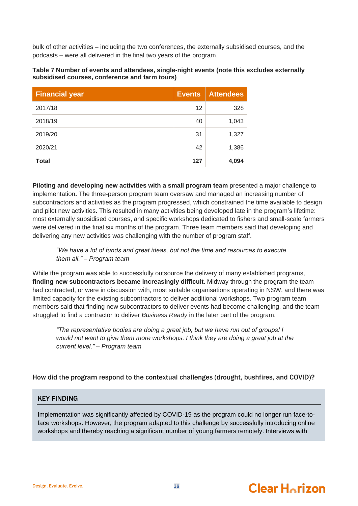bulk of other activities – including the two conferences, the externally subsidised courses, and the podcasts – were all delivered in the final two years of the program.

<span id="page-41-0"></span>

| Table 7 Number of events and attendees, single-night events (note this excludes externally |  |
|--------------------------------------------------------------------------------------------|--|
| subsidised courses, conference and farm tours)                                             |  |

| <b>Financial year</b> | <b>Events</b> | <b>Attendees</b> |
|-----------------------|---------------|------------------|
| 2017/18               | 12            | 328              |
| 2018/19               | 40            | 1,043            |
| 2019/20               | 31            | 1,327            |
| 2020/21               | 42            | 1,386            |
| <b>Total</b>          | 127           | 4,094            |

**Piloting and developing new activities with a small program team** presented a major challenge to implementation**.** The three-person program team oversaw and managed an increasing number of subcontractors and activities as the program progressed, which constrained the time available to design and pilot new activities. This resulted in many activities being developed late in the program's lifetime: most externally subsidised courses, and specific workshops dedicated to fishers and small-scale farmers were delivered in the final six months of the program. Three team members said that developing and delivering any new activities was challenging with the number of program staff.

### *"We have a lot of funds and great ideas, but not the time and resources to execute them all." – Program team*

While the program was able to successfully outsource the delivery of many established programs, **finding new subcontractors became increasingly difficult**. Midway through the program the team had contracted, or were in discussion with, most suitable organisations operating in NSW, and there was limited capacity for the existing subcontractors to deliver additional workshops. Two program team members said that finding new subcontractors to deliver events had become challenging, and the team struggled to find a contractor to deliver *Business Ready* in the later part of the program.

*"The representative bodies are doing a great job, but we have run out of groups! I would not want to give them more workshops. I think they are doing a great job at the current level." – Program team*

## How did the program respond to the contextual challenges (drought, bushfires, and COVID)?

## KEY FINDING

Implementation was significantly affected by COVID-19 as the program could no longer run face-toface workshops. However, the program adapted to this challenge by successfully introducing online workshops and thereby reaching a significant number of young farmers remotely. Interviews with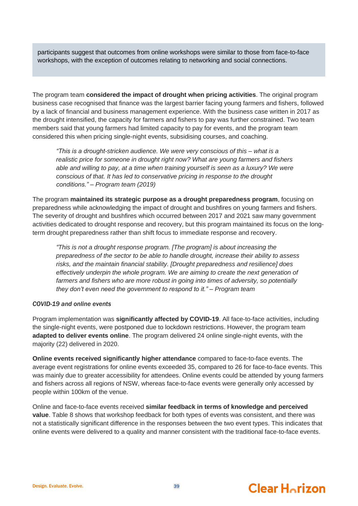participants suggest that outcomes from online workshops were similar to those from face-to-face workshops, with the exception of outcomes relating to networking and social connections.

The program team **considered the impact of drought when pricing activities**. The original program business case recognised that finance was the largest barrier facing young farmers and fishers, followed by a lack of financial and business management experience. With the business case written in 2017 as the drought intensified, the capacity for farmers and fishers to pay was further constrained. Two team members said that young farmers had limited capacity to pay for events, and the program team considered this when pricing single-night events, subsidising courses, and coaching.

*"This is a drought-stricken audience. We were very conscious of this – what is a realistic price for someone in drought right now? What are young farmers and fishers able and willing to pay, at a time when training yourself is seen as a luxury? We were conscious of that. It has led to conservative pricing in response to the drought conditions." – Program team (2019)*

The program **maintained its strategic purpose as a drought preparedness program**, focusing on preparedness while acknowledging the impact of drought and bushfires on young farmers and fishers. The severity of drought and bushfires which occurred between 2017 and 2021 saw many government activities dedicated to drought response and recovery, but this program maintained its focus on the longterm drought preparedness rather than shift focus to immediate response and recovery.

*"This is not a drought response program. [The program] is about increasing the preparedness of the sector to be able to handle drought, increase their ability to assess risks, and the maintain financial stability. [Drought preparedness and resilience] does effectively underpin the whole program. We are aiming to create the next generation of farmers and fishers who are more robust in going into times of adversity, so potentially they don't even need the government to respond to it." – Program team*

### *COVID-19 and online events*

Program implementation was **significantly affected by COVID-19**. All face-to-face activities, including the single-night events, were postponed due to lockdown restrictions. However, the program team **adapted to deliver events online**. The program delivered 24 online single-night events, with the majority (22) delivered in 2020.

**Online events received significantly higher attendance** compared to face-to-face events. The average event registrations for online events exceeded 35, compared to 26 for face-to-face events. This was mainly due to greater accessibility for attendees. Online events could be attended by young farmers and fishers across all regions of NSW, whereas face-to-face events were generally only accessed by people within 100km of the venue.

Online and face-to-face events received **similar feedback in terms of knowledge and perceived value**. [Table 8](#page-43-0) shows that workshop feedback for both types of events was consistent, and there was not a statistically significant difference in the responses between the two event types. This indicates that online events were delivered to a quality and manner consistent with the traditional face-to-face events.

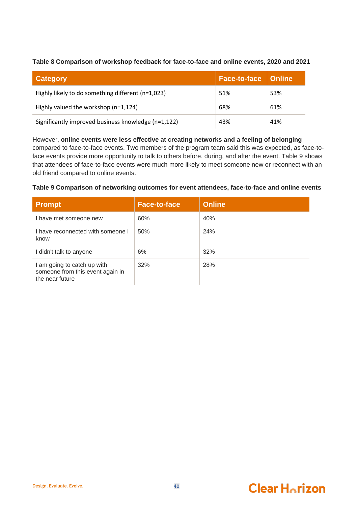<span id="page-43-0"></span>**Table 8 Comparison of workshop feedback for face-to-face and online events, 2020 and 2021**

| <b>Category</b>                                     | Face-to-face   Online |     |
|-----------------------------------------------------|-----------------------|-----|
| Highly likely to do something different (n=1,023)   | 51%                   | 53% |
| Highly valued the workshop (n=1,124)                | 68%                   | 61% |
| Significantly improved business knowledge (n=1,122) | 43%                   | 41% |

However, **online events were less effective at creating networks and a feeling of belonging** compared to face-to-face events. Two members of the program team said this was expected, as face-toface events provide more opportunity to talk to others before, during, and after the event. [Table 9](#page-43-1) shows that attendees of face-to-face events were much more likely to meet someone new or reconnect with an old friend compared to online events.

### <span id="page-43-1"></span>**Table 9 Comparison of networking outcomes for event attendees, face-to-face and online events**

| <b>Prompt</b>                                                                      | <b>Face-to-face</b> | <b>Online</b> |
|------------------------------------------------------------------------------------|---------------------|---------------|
| I have met someone new                                                             | 60%                 | 40%           |
| I have reconnected with someone I<br>know                                          | 50%                 | 24%           |
| I didn't talk to anyone                                                            | 6%                  | 32%           |
| I am going to catch up with<br>someone from this event again in<br>the near future | 32%                 | 28%           |

#### Design. Evaluate. Evolve. **And Evolve** 2004 10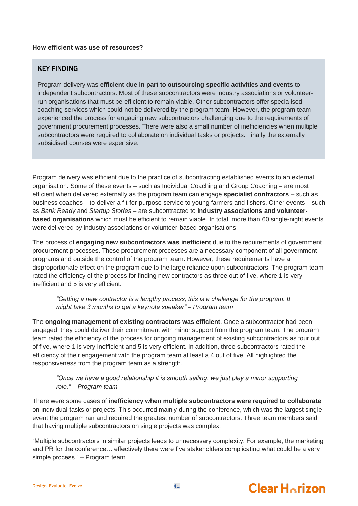### How efficient was use of resources?

### KEY FINDING

Program delivery was **efficient due in part to outsourcing specific activities and events** to independent subcontractors. Most of these subcontractors were industry associations or volunteerrun organisations that must be efficient to remain viable. Other subcontractors offer specialised coaching services which could not be delivered by the program team. However, the program team experienced the process for engaging new subcontractors challenging due to the requirements of government procurement processes. There were also a small number of inefficiencies when multiple subcontractors were required to collaborate on individual tasks or projects. Finally the externally subsidised courses were expensive.

Program delivery was efficient due to the practice of subcontracting established events to an external organisation. Some of these events – such as Individual Coaching and Group Coaching – are most efficient when delivered externally as the program team can engage **specialist contractors** – such as business coaches – to deliver a fit-for-purpose service to young farmers and fishers. Other events – such as *Bank Ready* and *Startup Stories* – are subcontracted to **industry associations and volunteerbased organisations** which must be efficient to remain viable. In total, more than 60 single-night events were delivered by industry associations or volunteer-based organisations.

The process of **engaging new subcontractors was inefficient** due to the requirements of government procurement processes. These procurement processes are a necessary component of all government programs and outside the control of the program team. However, these requirements have a disproportionate effect on the program due to the large reliance upon subcontractors. The program team rated the efficiency of the process for finding new contractors as three out of five, where 1 is very inefficient and 5 is very efficient.

*"Getting a new contractor is a lengthy process, this is a challenge for the program. It might take 3 months to get a keynote speaker" – Program team*

The **ongoing management of existing contractors was efficient**. Once a subcontractor had been engaged, they could deliver their commitment with minor support from the program team. The program team rated the efficiency of the process for ongoing management of existing subcontractors as four out of five, where 1 is very inefficient and 5 is very efficient. In addition, three subcontractors rated the efficiency of their engagement with the program team at least a 4 out of five. All highlighted the responsiveness from the program team as a strength.

### *"Once we have a good relationship it is smooth sailing, we just play a minor supporting role." – Program team*

There were some cases of **inefficiency when multiple subcontractors were required to collaborate**  on individual tasks or projects. This occurred mainly during the conference, which was the largest single event the program ran and required the greatest number of subcontractors. Three team members said that having multiple subcontractors on single projects was complex.

"Multiple subcontractors in similar projects leads to unnecessary complexity. For example, the marketing and PR for the conference… effectively there were five stakeholders complicating what could be a very simple process." – Program team

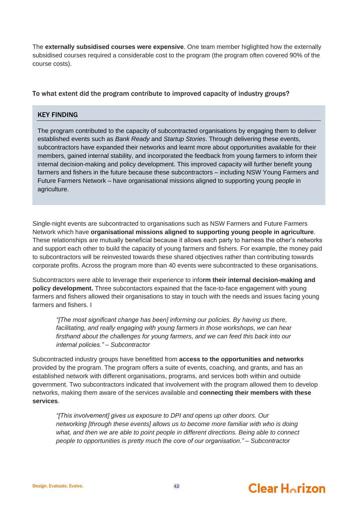The **externally subsidised courses were expensive**. One team member higlighted how the externally subsidised courses required a considerable cost to the program (the program often covered 90% of the course costs).

### To what extent did the program contribute to improved capacity of industry groups?

### KEY FINDING

The program contributed to the capacity of subcontracted organisations by engaging them to deliver established events such as *Bank Ready* and *Startup Stories*. Through delivering these events, subcontractors have expanded their networks and learnt more about opportunities available for their members, gained internal stability, and incorporated the feedback from young farmers to inform their internal decision-making and policy development. This improved capacity will further benefit young farmers and fishers in the future because these subcontractors – including NSW Young Farmers and Future Farmers Network – have organisational missions aligned to supporting young people in agriculture.

Single-night events are subcontracted to organisations such as NSW Farmers and Future Farmers Network which have **organisational missions aligned to supporting young people in agriculture**. These relationships are mutually beneficial because it allows each party to harness the other's networks and support each other to build the capacity of young farmers and fishers. For example, the money paid to subcontractors will be reinvested towards these shared objectives rather than contributing towards corporate profits. Across the program more than 40 events were subcontracted to these organisations.

Subcontractors were able to leverage their experience to info**rm their internal decision-making and policy development.** Three subcontactors expained that the face-to-face engagement with young farmers and fishers allowed their organisations to stay in touch with the needs and issues facing young farmers and fishers. I

*"[The most significant change has been] informing our policies. By having us there, facilitating, and really engaging with young farmers in those workshops, we can hear firsthand about the challenges for young farmers, and we can feed this back into our internal policies." – Subcontractor*

Subcontracted industry groups have benefitted from **access to the opportunities and networks**  provided by the program. The program offers a suite of events, coaching, and grants, and has an established network with different organisations, programs, and services both within and outside government. Two subcontractors indicated that involvement with the program allowed them to develop networks, making them aware of the services available and **connecting their members with these services**.

*"[This involvement] gives us exposure to DPI and opens up other doors. Our networking [through these events] allows us to become more familiar with who is doing what, and then we are able to point people in different directions. Being able to connect people to opportunities is pretty much the core of our organisation." – Subcontractor*

#### Design. Evaluate. Evolve. 42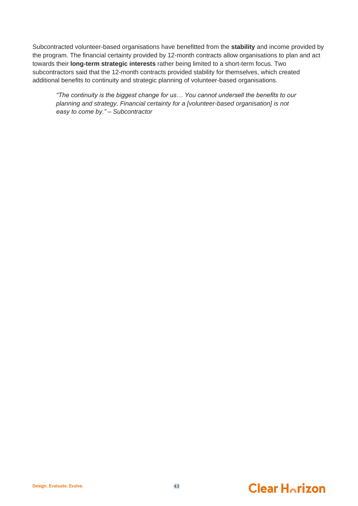Subcontracted volunteer-based organisations have benefitted from the **stability** and income provided by the program. The financial certainty provided by 12-month contracts allow organisations to plan and act towards their **long-term strategic interests** rather being limited to a short-term focus. Two subcontractors said that the 12-month contracts provided stability for themselves, which created additional benefits to continuity and strategic planning of volunteer-based organisations.

*"The continuity is the biggest change for us… You cannot undersell the benefits to our planning and strategy. Financial certainty for a [volunteer-based organisation] is not easy to come by." – Subcontractor*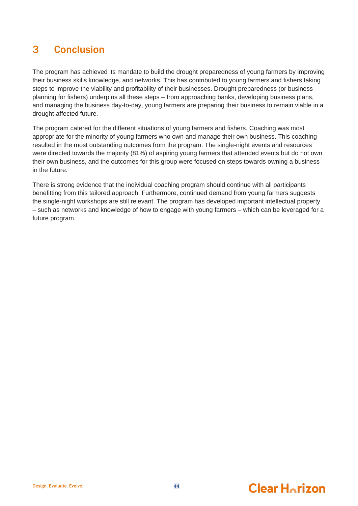## <span id="page-47-0"></span>3 Conclusion

The program has achieved its mandate to build the drought preparedness of young farmers by improving their business skills knowledge, and networks. This has contributed to young farmers and fishers taking steps to improve the viability and profitability of their businesses. Drought preparedness (or business planning for fishers) underpins all these steps – from approaching banks, developing business plans, and managing the business day-to-day, young farmers are preparing their business to remain viable in a drought-affected future.

The program catered for the different situations of young farmers and fishers. Coaching was most appropriate for the minority of young farmers who own and manage their own business. This coaching resulted in the most outstanding outcomes from the program. The single-night events and resources were directed towards the majority (81%) of aspiring young farmers that attended events but do not own their own business, and the outcomes for this group were focused on steps towards owning a business in the future.

There is strong evidence that the individual coaching program should continue with all participants benefitting from this tailored approach. Furthermore, continued demand from young farmers suggests the single-night workshops are still relevant. The program has developed important intellectual property – such as networks and knowledge of how to engage with young farmers – which can be leveraged for a future program.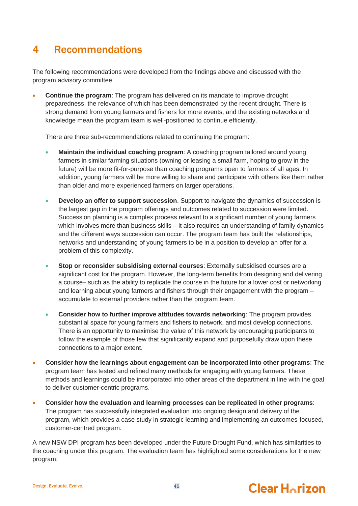## <span id="page-48-0"></span>4 Recommendations

The following recommendations were developed from the findings above and discussed with the program advisory committee.

• **Continue the program**: The program has delivered on its mandate to improve drought preparedness, the relevance of which has been demonstrated by the recent drought. There is strong demand from young farmers and fishers for more events, and the existing networks and knowledge mean the program team is well-positioned to continue efficiently.

There are three sub-recommendations related to continuing the program:

- **Maintain the individual coaching program**: A coaching program tailored around young farmers in similar farming situations (owning or leasing a small farm, hoping to grow in the future) will be more fit-for-purpose than coaching programs open to farmers of all ages. In addition, young farmers will be more willing to share and participate with others like them rather than older and more experienced farmers on larger operations.
- **Develop an offer to support succession**. Support to navigate the dynamics of succession is the largest gap in the program offerings and outcomes related to succession were limited. Succession planning is a complex process relevant to a significant number of young farmers which involves more than business skills – it also requires an understanding of family dynamics and the different ways succession can occur. The program team has built the relationships, networks and understanding of young farmers to be in a position to develop an offer for a problem of this complexity.
- **Stop or reconsider subsidising external courses**: Externally subsidised courses are a significant cost for the program. However, the long-term benefits from designing and delivering a course– such as the ability to replicate the course in the future for a lower cost or networking and learning about young farmers and fishers through their engagement with the program – accumulate to external providers rather than the program team.
- **Consider how to further improve attitudes towards networking**: The program provides substantial space for young farmers and fishers to network, and most develop connections. There is an opportunity to maximise the value of this network by encouraging participants to follow the example of those few that significantly expand and purposefully draw upon these connections to a major extent.
- **Consider how the learnings about engagement can be incorporated into other programs**: The program team has tested and refined many methods for engaging with young farmers. These methods and learnings could be incorporated into other areas of the department in line with the goal to deliver customer-centric programs.
- **Consider how the evaluation and learning processes can be replicated in other programs**: The program has successfully integrated evaluation into ongoing design and delivery of the program, which provides a case study in strategic learning and implementing an outcomes-focused, customer-centred program.

A new NSW DPI program has been developed under the Future Drought Fund, which has similarities to the coaching under this program. The evaluation team has highlighted some considerations for the new program:



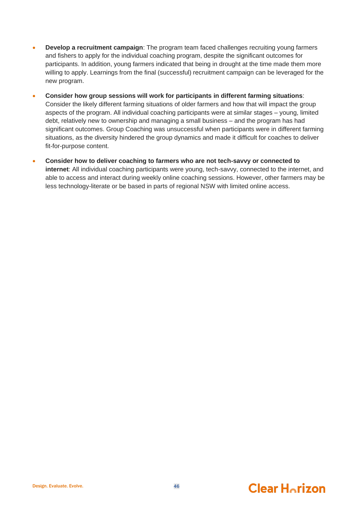- **Develop a recruitment campaign:** The program team faced challenges recruiting young farmers and fishers to apply for the individual coaching program, despite the significant outcomes for participants. In addition, young farmers indicated that being in drought at the time made them more willing to apply. Learnings from the final (successful) recruitment campaign can be leveraged for the new program.
- **Consider how group sessions will work for participants in different farming situations**: Consider the likely different farming situations of older farmers and how that will impact the group aspects of the program. All individual coaching participants were at similar stages – young, limited debt, relatively new to ownership and managing a small business – and the program has had significant outcomes. Group Coaching was unsuccessful when participants were in different farming situations, as the diversity hindered the group dynamics and made it difficult for coaches to deliver fit-for-purpose content.
- **Consider how to deliver coaching to farmers who are not tech-savvy or connected to internet**: All individual coaching participants were young, tech-savvy, connected to the internet, and able to access and interact during weekly online coaching sessions. However, other farmers may be less technology-literate or be based in parts of regional NSW with limited online access.